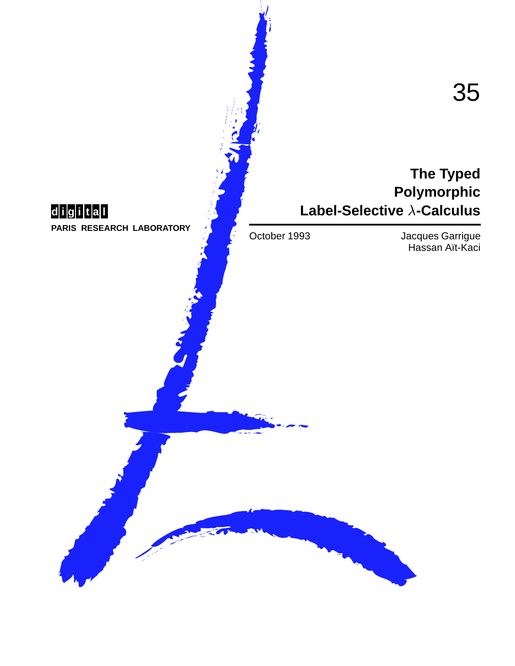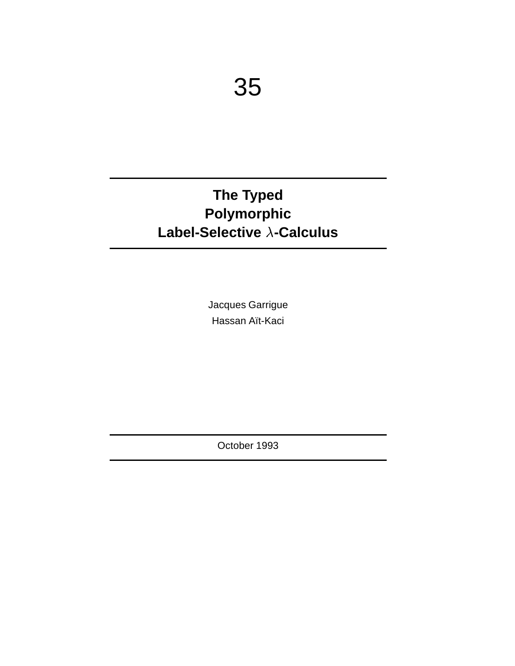# **The Typed Polymorphic Label-Selective -Calculus**

Jacques Garrigue Hassan Aït-Kaci

October 1993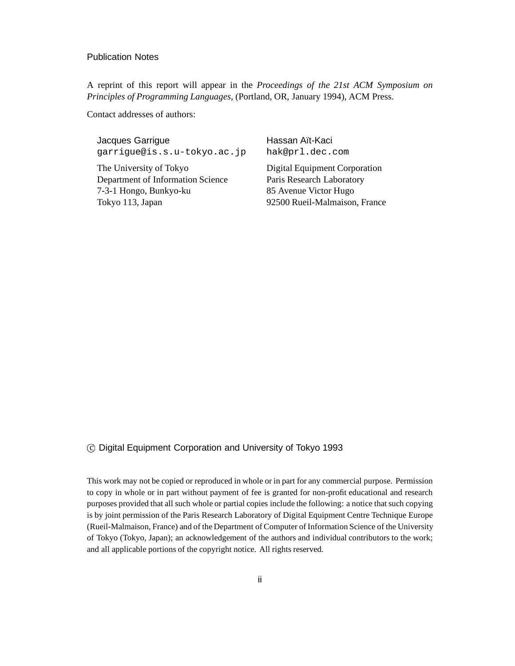#### Publication Notes

A reprint of this report will appear in the *Proceedings of the 21st ACM Symposium on Principles of Programming Languages*, (Portland, OR, January 1994), ACM Press.

Contact addresses of authors:

Jacques Garrigue garrigue@is.s.u-tokyo.ac.jp

The University of Tokyo Department of Information Science 7-3-1 Hongo, Bunkyo-ku Tokyo 113, Japan

Hassan Aït-Kaci hak@prl.dec.com

Digital Equipment Corporation Paris Research Laboratory 85 Avenue Victor Hugo 92500 Rueil-Malmaison, France

#### c Digital Equipment Corporation and University of Tokyo 1993

This work may not be copied or reproduced in whole or in part for any commercial purpose. Permission to copy in whole or in part without payment of fee is granted for non-profit educational and research purposes provided that all such whole or partial copies include the following: a notice that such copying is by joint permission of the Paris Research Laboratory of Digital Equipment Centre Technique Europe (Rueil-Malmaison, France) and of the Department of Computer of Information Science of the University of Tokyo (Tokyo, Japan); an acknowledgement of the authors and individual contributors to the work; and all applicable portions of the copyright notice. All rights reserved.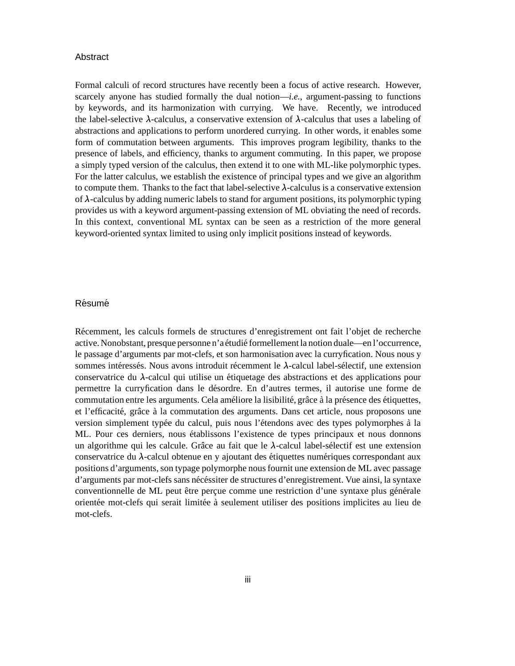#### Abstract

Formal calculi of record structures have recently been a focus of active research. However, scarcely anyone has studied formally the dual notion—*i.e.*, argument-passing to functions by keywords, and its harmonization with currying. We have. Recently, we introduced the label-selective  $\lambda$ -calculus, a conservative extension of  $\lambda$ -calculus that uses a labeling of abstractions and applications to perform unordered currying. In other words, it enables some form of commutation between arguments. This improves program legibility, thanks to the presence of labels, and efficiency, thanks to argument commuting. In this paper, we propose a simply typed version of the calculus, then extend it to one with ML-like polymorphic types. For the latter calculus, we establish the existence of principal types and we give an algorithm to compute them. Thanks to the fact that label-selective  $\lambda$ -calculus is a conservative extension of  $\lambda$ -calculus by adding numeric labels to stand for argument positions, its polymorphic typing provides us with a keyword argument-passing extension of ML obviating the need of records. In this context, conventional ML syntax can be seen as a restriction of the more general keyword-oriented syntax limited to using only implicit positions instead of keywords.

#### **Résumé**

Récemment, les calculs formels de structures d'enregistrement ont fait l'objet de recherche active. Nonobstant, presque personne n'a étudié formellement la notion duale—en l'occurrence, le passage d'arguments par mot-clefs, et son harmonisation avec la curryfication. Nous nous y sommes intéressés. Nous avons introduit récemment le  $\lambda$ -calcul label-sélectif, une extension conservatrice du  $\lambda$ -calcul qui utilise un étiquetage des abstractions et des applications pour permettre la curryfication dans le d´esordre. En d'autres termes, il autorise une forme de commutation entre les arguments. Cela améliore la lisibilité, grâce à la présence des étiquettes, et l'efficacité, grâce à la commutation des arguments. Dans cet article, nous proposons une version simplement typée du calcul, puis nous l'étendons avec des types polymorphes à la ML. Pour ces derniers, nous établissons l'existence de types principaux et nous donnons un algorithme qui les calcule. Grâce au fait que le  $\lambda$ -calcul label-sélectif est une extension conservatrice du  $\lambda$ -calcul obtenue en y ajoutant des étiquettes numériques correspondant aux positions d'arguments, son typage polymorphe nous fournit une extension de ML avec passage d'arguments par mot-clefs sans nécéssiter de structures d'enregistrement. Vue ainsi, la syntaxe conventionnelle de ML peut être perçue comme une restriction d'une syntaxe plus générale orientée mot-clefs qui serait limitée à seulement utiliser des positions implicites au lieu de mot-clefs.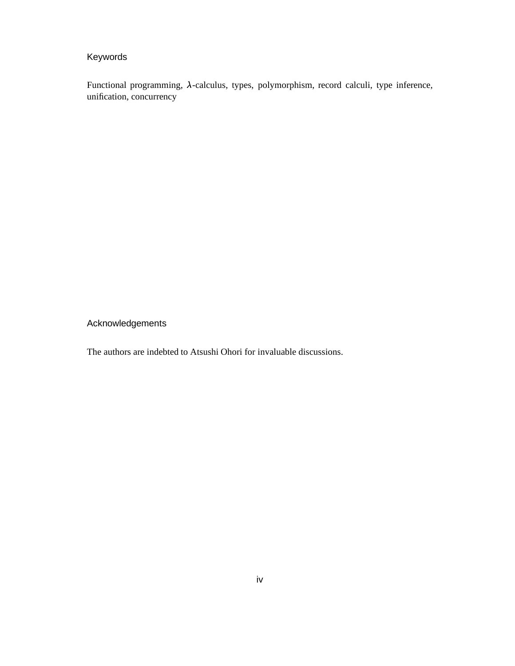### Keywords

Functional programming,  $\lambda$ -calculus, types, polymorphism, record calculi, type inference, unification, concurrency

Acknowledgements

The authors are indebted to Atsushi Ohori for invaluable discussions.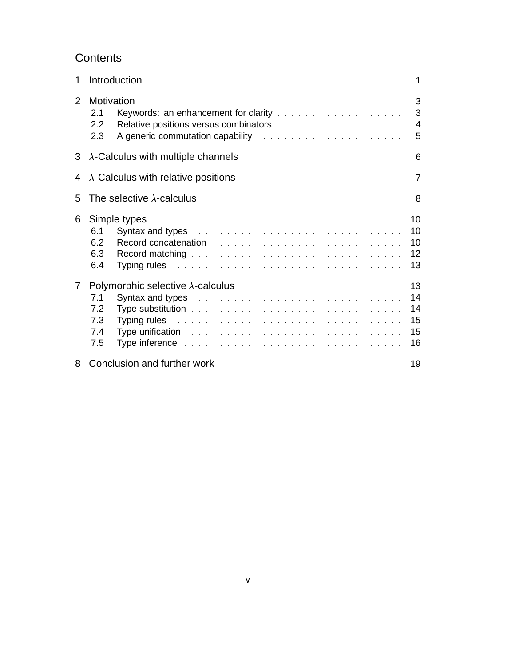## **Contents**

| 1              | Introduction                                                                                                                                                                                                                                                                                                                                                                                                                                                                                                                                                                                                                                                                                                                                                                      | 1                                |
|----------------|-----------------------------------------------------------------------------------------------------------------------------------------------------------------------------------------------------------------------------------------------------------------------------------------------------------------------------------------------------------------------------------------------------------------------------------------------------------------------------------------------------------------------------------------------------------------------------------------------------------------------------------------------------------------------------------------------------------------------------------------------------------------------------------|----------------------------------|
| 2              | Motivation<br>2.1<br>$2.2^{\circ}$<br>2.3                                                                                                                                                                                                                                                                                                                                                                                                                                                                                                                                                                                                                                                                                                                                         | 3<br>3<br>$\overline{4}$<br>5    |
| 3              | $\lambda$ -Calculus with multiple channels                                                                                                                                                                                                                                                                                                                                                                                                                                                                                                                                                                                                                                                                                                                                        |                                  |
| 4              | $\lambda$ -Calculus with relative positions                                                                                                                                                                                                                                                                                                                                                                                                                                                                                                                                                                                                                                                                                                                                       | 7                                |
| 5              | The selective $\lambda$ -calculus                                                                                                                                                                                                                                                                                                                                                                                                                                                                                                                                                                                                                                                                                                                                                 | 8                                |
| 6              | Simple types<br>6.1<br>6.2<br>6.3<br>6.4<br>Typing rules and a subsequently and a subsequently set of the subsequently set of the subsequently set of the                                                                                                                                                                                                                                                                                                                                                                                                                                                                                                                                                                                                                         | 10<br>10<br>10<br>12<br>13       |
| $7\phantom{.}$ | Polymorphic selective $\lambda$ -calculus<br>7.1<br>7.2<br>7.3<br>Typing rules and a subsequently and a subsequently and a subsequently and a subsequently response to the subsequently response to the subsequently response to the subsequently response of the subsequently response of the s<br>Type unification enterpreterate and the contract of the contract of the contract of the contract of the contract of the contract of the contract of the contract of the contract of the contract of the contract of the contra<br>7.4<br>7.5<br>Type inference enterpreted to contact the contact of the contact of the contact of the contact of the contact of the contact of the contact of the contact of the contact of the contact of the contact of the contact of the | 13<br>14<br>14<br>15<br>15<br>16 |
| 8              | Conclusion and further work                                                                                                                                                                                                                                                                                                                                                                                                                                                                                                                                                                                                                                                                                                                                                       | 19                               |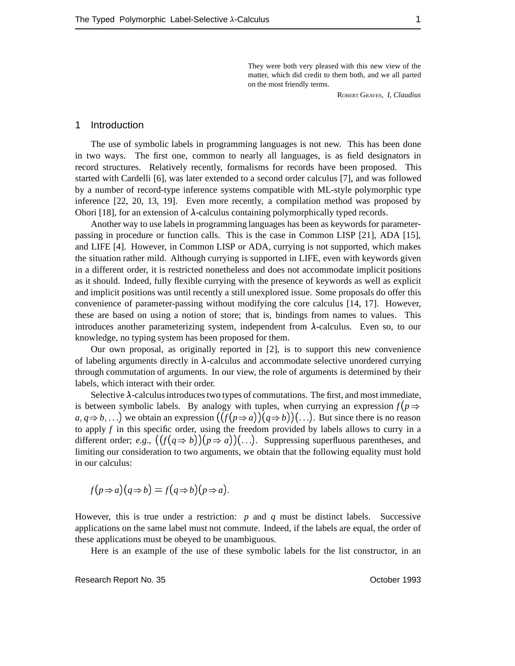They were both very pleased with this new view of the matter, which did credit to them both, and we all parted on the most friendly terms.

ROBERT GRAVES, *I, Claudius*

#### 1 Introduction

The use of symbolic labels in programming languages is not new. This has been done in two ways. The first one, common to nearly all languages, is as field designators in record structures. Relatively recently, formalisms for records have been proposed. This started with Cardelli [6], was later extended to a second order calculus [7], and was followed by a number of record-type inference systems compatible with ML-style polymorphic type inference [22, 20, 13, 19]. Even more recently, a compilation method was proposed by Ohori [18], for an extension of  $\lambda$ -calculus containing polymorphically typed records.

Another way to use labels in programming languages has been as keywords for parameterpassing in procedure or function calls. This is the case in Common LISP [21], ADA [15], and LIFE [4]. However, in Common LISP or ADA, currying is not supported, which makes the situation rather mild. Although currying is supported in LIFE, even with keywords given in a different order, it is restricted nonetheless and does not accommodate implicit positions as it should. Indeed, fully flexible currying with the presence of keywords as well as explicit and implicit positions was until recently a still unexplored issue. Some proposals do offer this convenience of parameter-passing without modifying the core calculus [14, 17]. However, these are based on using a notion of store; that is, bindings from names to values. This introduces another parameterizing system, independent from  $\lambda$ -calculus. Even so, to our knowledge, no typing system has been proposed for them.

Our own proposal, as originally reported in [2], is to support this new convenience of labeling arguments directly in  $\lambda$ -calculus and accommodate selective unordered currying through commutation of arguments. In our view, the role of arguments is determined by their labels, which interact with their order.

Selective  $\lambda$ -calculus introduces two types of commutations. The first, and most immediate, is between symbolic labels. By analogy with tuples, when currying an expression  $f(p \Rightarrow$  $a, q \Rightarrow b, \ldots$ ) we obtain an expression  $((f(p \Rightarrow a))(q \Rightarrow b))$ ...). But since there is no reason to apply *f* in this specific order, using the freedom provided by labels allows to curry in a different order;  $e.g., ((f(q \Rightarrow b))(p \Rightarrow a))$ ...). Suppressing superfluous parentheses, and limiting our consideration to two arguments, we obtain that the following equality must hold in our calculus:

$$
f(p \Rightarrow a)(q \Rightarrow b) = f(q \Rightarrow b)(p \Rightarrow a).
$$

However, this is true under a restriction: *p* and *q* must be distinct labels. Successive applications on the same label must not commute. Indeed, if the labels are equal, the order of these applications must be obeyed to be unambiguous.

Here is an example of the use of these symbolic labels for the list constructor, in an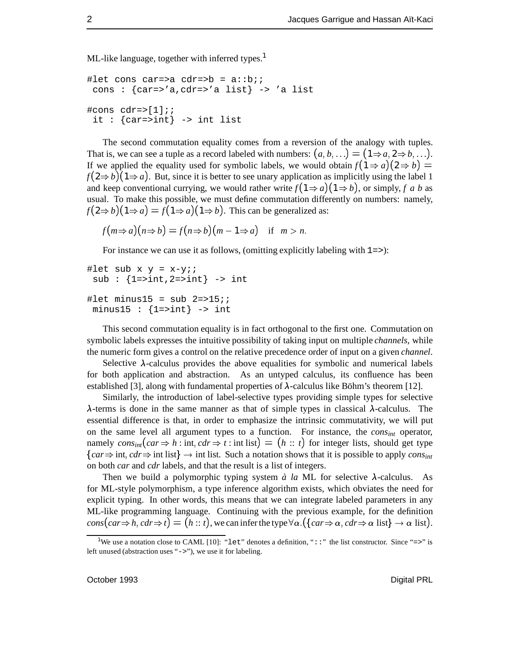ML-like language, together with inferred types.<sup>1</sup>

```
#let cons car=>a cdr=>b = a::bi;cons : \{car = > 'a, cdr = > 'a list\} -> 'a list
#cons cdr=\>[1];;
 it : \{car=>int\} -> int list
```
The second commutation equality comes from a reversion of the analogy with tuples. That is, we can see a tuple as a record labeled with numbers:  $(a, b, \ldots) = (1 \Rightarrow a, 2 \Rightarrow b, \ldots)$ . If we applied the equality used for symbolic labels, we would obtain  $f(1 \Rightarrow a)(2 \Rightarrow b) =$  $f(2\Rightarrow b)(1\Rightarrow a)$ . But, since it is better to see unary application as implicitly using the label 1 and keep conventional currying, we would rather write  $f(1 \Rightarrow a)(1 \Rightarrow b)$ , or simply, *f* a *b* as usual. To make this possible, we must define commutation differently on numbers: namely,  $f(2 \Rightarrow b)(1 \Rightarrow a) = f(1 \Rightarrow a)(1 \Rightarrow b)$ . This can be generalized as:

$$
f(m \Rightarrow a)(n \Rightarrow b) = f(n \Rightarrow b)(m - 1 \Rightarrow a) \text{ if } m > n.
$$

For instance we can use it as follows, (omitting explicitly labeling with  $1 =$ >):

```
#let sub x y = x-yi;
 sub : \{1=>int, 2=>int} -> int
#let minus15 = sub 2=>15;
minus15 : \{1=>int\} -> int
```
This second commutation equality is in fact orthogonal to the first one. Commutation on symbolic labels expresses the intuitive possibility of taking input on multiple *channels*, while the numeric form gives a control on the relative precedence order of input on a given *channel*.

Selective  $\lambda$ -calculus provides the above equalities for symbolic and numerical labels for both application and abstraction. As an untyped calculus, its confluence has been established [3], along with fundamental properties of  $\lambda$ -calculus like Böhm's theorem [12].

Similarly, the introduction of label-selective types providing simple types for selective  $\lambda$ -terms is done in the same manner as that of simple types in classical  $\lambda$ -calculus. The essential difference is that, in order to emphasize the intrinsic commutativity, we will put on the same level all argument types to a function. For instance, the *consint* operator, namely  $cons_{int}(car \Rightarrow h: int, cdr \Rightarrow t: int list) = (h:: t)$  for integer lists, should get type  $\{car \Rightarrow \text{int}, \text{cdr} \Rightarrow \text{int} \text{list}\}$   $\rightarrow$  int list. Such a notation shows that it is possible to apply *cons<sub>int</sub>* on both *car* and *cdr* labels, and that the result is a list of integers.

Then we build a polymorphic typing system  $\dot{a}$  *la* ML for selective  $\lambda$ -calculus. As for ML-style polymorphism, a type inference algorithm exists, which obviates the need for explicit typing. In other words, this means that we can integrate labeled parameters in any ML-like programming language. Continuing with the previous example, for the definition  $cons(car \Rightarrow h, cdr \Rightarrow t) = (h:: t)$ , we can infer the type  $\forall \alpha$ . ( $\{car \Rightarrow \alpha, cdr \Rightarrow \alpha \text{ list}\} \rightarrow \alpha \text{ list}.$ 

<sup>&</sup>lt;sup>1</sup>We use a notation close to CAML [10]: "let" denotes a definition, "::" the list constructor. Since "=>" is left unused (abstraction uses "->"), we use it for labeling.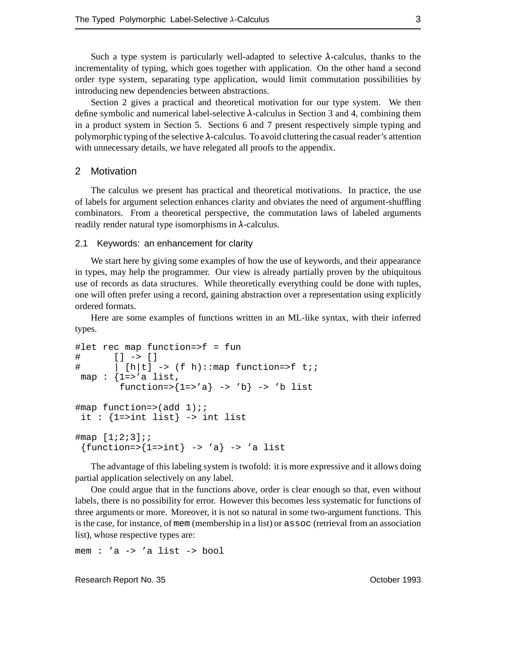Such a type system is particularly well-adapted to selective  $\lambda$ -calculus, thanks to the incrementality of typing, which goes together with application. On the other hand a second order type system, separating type application, would limit commutation possibilities by introducing new dependencies between abstractions.

Section 2 gives a practical and theoretical motivation for our type system. We then define symbolic and numerical label-selective  $\lambda$ -calculus in Section 3 and 4, combining them in a product system in Section 5. Sections 6 and 7 present respectively simple typing and polymorphic typing of the selective  $\lambda$ -calculus. To avoid cluttering the casual reader's attention with unnecessary details, we have relegated all proofs to the appendix.

#### 2 Motivation

The calculus we present has practical and theoretical motivations. In practice, the use of labels for argument selection enhances clarity and obviates the need of argument-shuffling combinators. From a theoretical perspective, the commutation laws of labeled arguments readily render natural type isomorphisms in  $\lambda$ -calculus.

#### 2.1 Keywords: an enhancement for clarity

We start here by giving some examples of how the use of keywords, and their appearance in types, may help the programmer. Our view is already partially proven by the ubiquitous use of records as data structures. While theoretically everything could be done with tuples, one will often prefer using a record, gaining abstraction over a representation using explicitly ordered formats.

Here are some examples of functions written in an ML-like syntax, with their inferred types.

```
#let rec map function=>f = fun
# [] -> []
\# | [h|t] -> (f h)::map function=>f t;;
map : \{1 = > 'a \text{ list},function=>{1=>'a} -> 'b} -> 'b list
#map function=>(add 1);;
 it : \{1=>int list} -> int list
\#map [1;2;3];{\text{function}} = \{1 = \text{int}\} \rightarrow 'a\} \rightarrow 'a list
```
The advantage of this labeling system is twofold: it is more expressive and it allows doing partial application selectively on any label.

One could argue that in the functions above, order is clear enough so that, even without labels, there is no possibility for error. However this becomes less systematic for functions of three arguments or more. Moreover, it is not so natural in some two-argument functions. This is the case, for instance, of mem (membership in a list) or assoc (retrieval from an association list), whose respective types are:

mem : 'a -> 'a list -> bool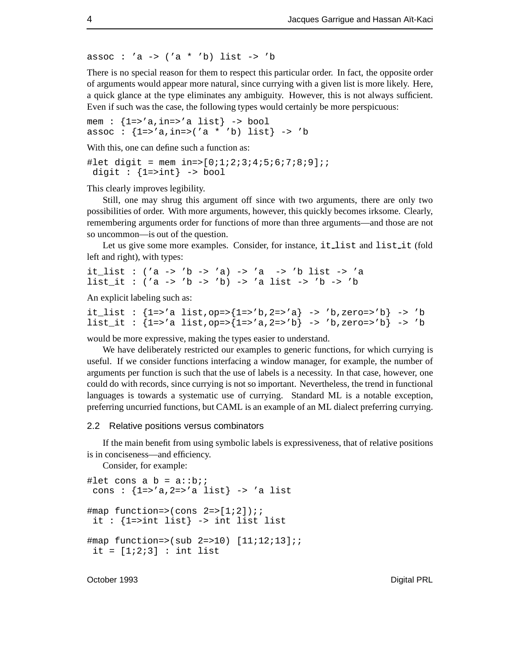assoc : 'a ->  $('a * 'b)$  list -> 'b

There is no special reason for them to respect this particular order. In fact, the opposite order of arguments would appear more natural, since currying with a given list is more likely. Here, a quick glance at the type eliminates any ambiguity. However, this is not always sufficient. Even if such was the case, the following types would certainly be more perspicuous:

mem :  ${1 = > 'a, in = > 'a list} \rightarrow bool$ assoc :  ${1 = > 'a, in = > ('a * 'b) list} \rightarrow 'b$ 

With this, one can define such a function as:

#let digit = mem in=>[0;1;2;3;4;5;6;7;8;9];; digit :  $\{1=$ >int $\}$  -> bool

This clearly improves legibility.

Still, one may shrug this argument off since with two arguments, there are only two possibilities of order. With more arguments, however, this quickly becomes irksome. Clearly, remembering arguments order for functions of more than three arguments—and those are not so uncommon—is out of the question.

Let us give some more examples. Consider, for instance, it list and list it (fold left and right), with types:

it\_list : ('a -> 'b -> 'a) -> 'a -> 'b list -> 'a list\_it : ('a -> 'b -> 'b) -> 'a list -> 'b -> 'b

An explicit labeling such as:

```
it list : {1=>'a list,op=>{1=>'b,2=>'a} -> 'b,zero=>'b} -> 'b
list_it : {1=> a list, op=>{1=> a, 2=> b} -> 'b, zero=>'b} -> 'b
```
would be more expressive, making the types easier to understand.

We have deliberately restricted our examples to generic functions, for which currying is useful. If we consider functions interfacing a window manager, for example, the number of arguments per function is such that the use of labels is a necessity. In that case, however, one could do with records, since currying is not so important. Nevertheless, the trend in functional languages is towards a systematic use of currying. Standard ML is a notable exception, preferring uncurried functions, but CAML is an example of an ML dialect preferring currying.

#### 2.2 Relative positions versus combinators

If the main benefit from using symbolic labels is expressiveness, that of relative positions is in conciseness—and efficiency.

Consider, for example:

```
#let cons a b = a::bi;cons : {1 = > 'a, 2 = > 'a} list \rightarrow 'a list
\text{#map function} =>(cons 2=>[1;2]);;
 it : {1=>int list} -> int list list
#map function=>(sub 2=>10) [11;12;13];;
 it = [1;2;3] : int list
```
October 1993 Digital PRL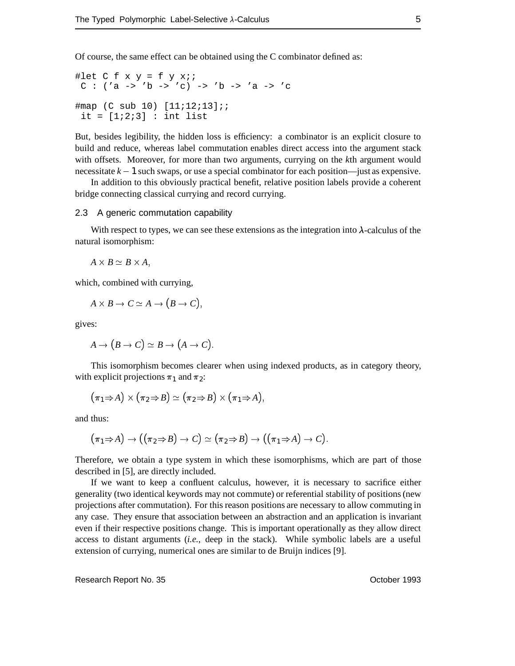Of course, the same effect can be obtained using the C combinator defined as:

#let  $C f x y = f y x;$  $C : ('a \rightarrow 'b \rightarrow 'c) \rightarrow 'b \rightarrow 'a \rightarrow 'c$ #map (C sub 10) [11;12;13];; it =  $[1;2;3]$  : int list

But, besides legibility, the hidden loss is efficiency: a combinator is an explicit closure to build and reduce, whereas label commutation enables direct access into the argument stack with offsets. Moreover, for more than two arguments, currying on the *k*th argument would necessitate  $k - 1$  such swaps, or use a special combinator for each position—just as expensive.

In addition to this obviously practical benefit, relative position labels provide a coherent bridge connecting classical currying and record currying.

#### 2.3 A generic commutation capability

With respect to types, we can see these extensions as the integration into  $\lambda$ -calculus of the natural isomorphism:

 $A \times B \simeq B \times A$ ,

which, combined with currying,

$$
A\times B\to C\simeq A\to (B\to C),
$$

gives:

$$
A \to (B \to C) \simeq B \to (A \to C).
$$

This isomorphism becomes clearer when using indexed products, as in category theory, with explicit projections  $\pi_1$  and  $\pi_2$ :

$$
\bigl(\pi_1\!\Rightarrow\! A\bigr)\times\bigl(\pi_2\!\Rightarrow\! B\bigr)\simeq\bigl(\pi_2\!\Rightarrow\! B\bigr)\times\bigl(\pi_1\!\Rightarrow\! A\bigr),\qquad
$$

and thus:

$$
\bigl(\pi_1\!\Rightarrow\! A\bigr)\rightarrow\bigl(\bigl(\pi_2\!\Rightarrow\! B\bigr)\rightarrow C\bigr)\simeq\bigl(\pi_2\!\Rightarrow\! B\bigr)\rightarrow\bigl(\bigl(\pi_1\!\Rightarrow\! A\bigr)\rightarrow C\bigr).
$$

Therefore, we obtain a type system in which these isomorphisms, which are part of those described in [5], are directly included.

If we want to keep a confluent calculus, however, it is necessary to sacrifice either generality (two identical keywords may not commute) or referential stability of positions (new projections after commutation). For this reason positions are necessary to allow commuting in any case. They ensure that association between an abstraction and an application is invariant even if their respective positions change. This is important operationally as they allow direct access to distant arguments (*i.e.*, deep in the stack). While symbolic labels are a useful extension of currying, numerical ones are similar to de Bruijn indices [9].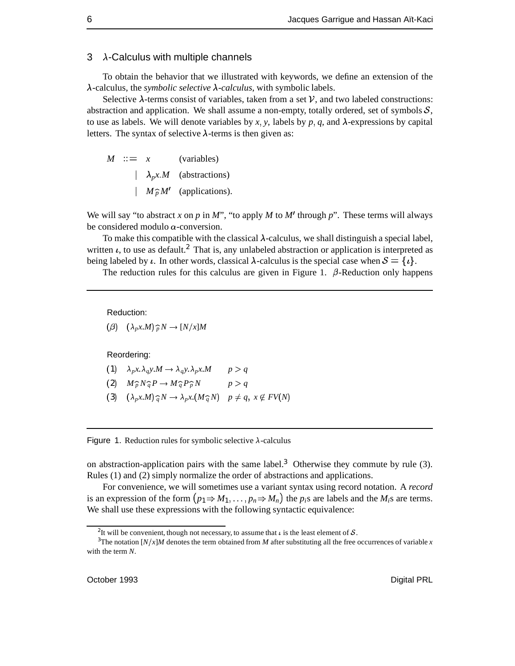#### $3$   $\lambda$ -Calculus with multiple channels

To obtain the behavior that we illustrated with keywords, we define an extension of the  $\lambda$ -calculus, the *symbolic selective*  $\lambda$ -*calculus*, with symbolic labels.

Selective  $\lambda$ -terms consist of variables, taken from a set V, and two labeled constructions: abstraction and application. We shall assume a non-empty, totally ordered, set of symbols  $S$ , to use as labels. We will denote variables by  $x$ ,  $y$ , labels by  $p$ ,  $q$ , and  $\lambda$ -expressions by capital letters. The syntax of selective  $\lambda$ -terms is then given as:

 $M \cong x$  (variables)  $\lambda_p x.M$  (abstractions)  $M \hat{p} M'$  (applications).

We will say "to abstract x on p in M", "to apply M to M' through p". These terms will always be considered modulo  $\alpha$ -conversion.

To make this compatible with the classical  $\lambda$ -calculus, we shall distinguish a special label, written  $\iota$ , to use as default.<sup>2</sup> That is, any unlabeled abstraction or application is interpreted as being labeled by  $\iota$ . In other words, classical  $\lambda$ -calculus is the special case when  $S = {\iota}$ .

The reduction rules for this calculus are given in Figure 1.  $\beta$ -Reduction only happens

Reduction:

$$
(\beta) \quad (\lambda_p x.M) \widehat{p} N \to [N/x]M
$$

Reordering:

- (1)  $\lambda_p x \cdot \lambda_q y \cdot M \rightarrow \lambda_q y \cdot \lambda_p x \cdot M$   $p > q$
- (2)  $M_p^{\sim} N_q^{\sim} P \rightarrow M_q^{\sim} P_p^{\sim} N$   $p > q$
- (3)  $(\lambda_p x.M) \hat{q} N \rightarrow \lambda_p x.(M \hat{q} N)$   $p \neq q, x \notin FV(N)$

#### Figure 1. Reduction rules for symbolic selective  $\lambda$ -calculus

on abstraction-application pairs with the same label.<sup>3</sup> Otherwise they commute by rule (3). Rules (1) and (2) simply normalize the order of abstractions and applications.

For convenience, we will sometimes use a variant syntax using record notation. A *record* is an expression of the form  $(p_1 \Rightarrow M_1, \ldots, p_n \Rightarrow M_n)$  the *p<sub>i</sub>*s are labels and the *M<sub>i</sub>*s are terms. We shall use these expressions with the following syntactic equivalence:

<sup>&</sup>lt;sup>2</sup>It will be convenient, though not necessary, to assume that  $\iota$  is the least element of  $\mathcal{S}$ .

<sup>&</sup>lt;sup>3</sup>The notation  $[N/x]M$  denotes the term obtained from *M* after substituting all the free occurrences of variable *x* with the term *N*.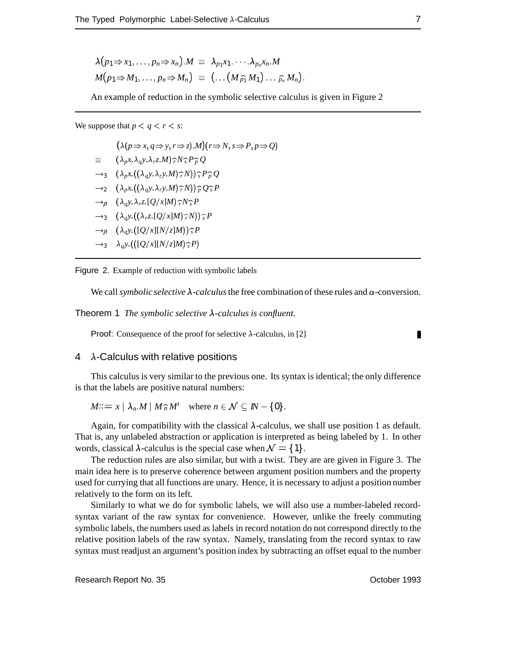$$
\lambda(p_1 \Rightarrow x_1, \ldots, p_n \Rightarrow x_n).M \equiv \lambda_{p_1} x_1 \cdots \lambda_{p_n} x_n. M
$$
  

$$
M(p_1 \Rightarrow M_1, \ldots, p_n \Rightarrow M_n) \equiv (\ldots (M_{\widehat{p_1}} M_1) \ldots \widehat{p_n} M_n).
$$

An example of reduction in the symbolic selective calculus is given in Figure 2

We suppose that  $p < q < r < s$ :

 $(\lambda(p \Rightarrow x, q \Rightarrow y, r \Rightarrow z).M)(r \Rightarrow N, s \Rightarrow P, p \Rightarrow Q)$  $\equiv (\lambda_p x \cdot \lambda_q y \cdot \lambda_r z \cdot M) \hat{i}^N s^P \hat{j}^Q$  $\rightarrow$ <sub>3</sub>  $(\lambda_p x.((\lambda_q y.\lambda_r y.M)\hat{r}N))\hat{r}P\hat{p}Q$  $\rightarrow$  2  $(\lambda_p x.((\lambda_q y.\lambda_r y.M)\hat{i}/N))\hat{j}/Q\hat{j}/P$  $\rightarrow$ <sup>*g*</sup>  $(\lambda_a y.\lambda_r z.[Q/x]M)\hat{ }^N_s P$  $\rightarrow$ <sub>3</sub>  $(\lambda_q y \cdot ((\lambda_r z \cdot [Q/x]M)\hat{\tau}N))\hat{\tau}P$  $\rightarrow$   $\beta$   $(\lambda_q y \cdot ([Q/x][N/z]M))$ <sup>2</sup>  $\rightarrow$ <sub>3</sub>  $\lambda_q y$ :(([Q/x][N/z]M) $\hat{s}$ P)

Figure 2. Example of reduction with symbolic labels

We call *symbolic selective*  $\lambda$ -calculus the free combination of these rules and  $\alpha$ -conversion.

Theorem 1 *The symbolic selective*  $\lambda$ -calculus is confluent.

**Proof:** Consequence of the proof for selective  $\lambda$ -calculus, in [2]

П

#### $4\lambda$ -Calculus with relative positions

This calculus is very similar to the previous one. Its syntax is identical; the only difference is that the labels are positive natural numbers:

 $M::= x \mid \lambda_n.M \mid M \widehat{n} M'$  where  $n \in \mathcal{N} \subseteq \mathbb{N} - \{0\}.$ 

Again, for compatibility with the classical  $\lambda$ -calculus, we shall use position 1 as default. That is, any unlabeled abstraction or application is interpreted as being labeled by 1. In other words, classical  $\lambda$ -calculus is the special case when  $\mathcal{N} = \{1\}.$ 

The reduction rules are also similar, but with a twist. They are are given in Figure 3. The main idea here is to preserve coherence between argument position numbers and the property used for currying that all functions are unary. Hence, it is necessary to adjust a position number relatively to the form on its left.

Similarly to what we do for symbolic labels, we will also use a number-labeled recordsyntax variant of the raw syntax for convenience. However, unlike the freely commuting symbolic labels, the numbers used as labels in record notation do not correspond directly to the relative position labels of the raw syntax. Namely, translating from the record syntax to raw syntax must readjust an argument's position index by subtracting an offset equal to the number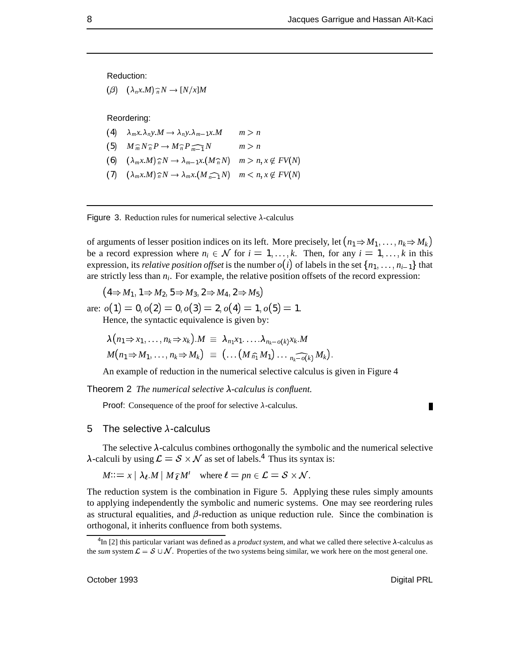Reduction:

 $(\beta)$   $(\lambda_n x.M)\widehat{n}N \rightarrow [N/x]M$ 

Reordering:

- (4)  $\lambda_m x.\lambda_n y.M \rightarrow \lambda_n y.\lambda_{m-1} x.M \qquad m > n$
- (5)  $M_m^{\frown} N_m^{\frown} P \to M_m^{\frown} P_{m-1}^{\frown} N$   $m > n$
- (6)  $(\lambda_m x.M)\hat{n}N \rightarrow \lambda_{m-1}x.(M\hat{n}N)$   $m > n, x \notin FV(N)$
- $(7)$   $(\lambda_m x.M)\widehat{n}N \rightarrow \lambda_m x.(M\widehat{n-1}N)$   $m < n, x \notin FV(N)$



of arguments of lesser position indices on its left. More precisely, let  $(n_1 \Rightarrow M_1, \ldots, n_k \Rightarrow M_k)$ be a record expression where  $n_i \in \mathcal{N}$  for  $i = 1, ..., k$ . Then, for any  $i = 1, ..., k$  in this expression, its *relative position offset* is the number  $o(i)$  of labels in the set  $\{n_1, \ldots, n_{i-1}\}\$  that are strictly less than *ni*. For example, the relative position offsets of the record expression:

 $(4 \Rightarrow M_1, 1 \Rightarrow M_2, 5 \Rightarrow M_3, 2 \Rightarrow M_4, 2 \Rightarrow M_5)$ 

are:  $o(1) = 0, o(2) = 0, o(3) = 2, o(4) = 1, o(5) = 1.$ Hence, the syntactic equivalence is given by:

$$
\lambda(n_1 \Rightarrow x_1, \ldots, n_k \Rightarrow x_k) . M \equiv \lambda_{n_1} x_1 \ldots \lambda_{n_k - o(k)} x_k . M
$$
  

$$
M(n_1 \Rightarrow M_1, \ldots, n_k \Rightarrow M_k) \equiv (\ldots (M \widehat{n_1} M_1) \ldots \widehat{n_k - o(k)} M_k).
$$

An example of reduction in the numerical selective calculus is given in Figure 4

Theorem 2 *The numerical selective*  $\lambda$ -calculus is confluent.

**Proof:** Consequence of the proof for selective  $\lambda$ -calculus.

#### 5 The selective  $\lambda$ -calculus

The selective  $\lambda$ -calculus combines orthogonally the symbolic and the numerical selective  $\lambda$ -calculi by using  $\mathcal{L} = \mathcal{S} \times \mathcal{N}$  as set of labels.<sup>4</sup> Thus its syntax is:

 $M::= x \mid \lambda_{\ell}.M \mid M \hat{\ell}M'$  where  $\ell = pn \in \mathcal{L} = \mathcal{S} \times \mathcal{N}$ .

The reduction system is the combination in Figure 5. Applying these rules simply amounts to applying independently the symbolic and numeric systems. One may see reordering rules as structural equalities, and  $\beta$ -reduction as unique reduction rule. Since the combination is orthogonal, it inherits confluence from both systems.

П

 ${}^{4}$ In [2] this particular variant was defined as a *product system*, and what we called there selective  $\lambda$ -calculus as the *sum* system  $\mathcal{L} = \mathcal{S} \cup \mathcal{N}$ . Properties of the two systems being similar, we work here on the most general one.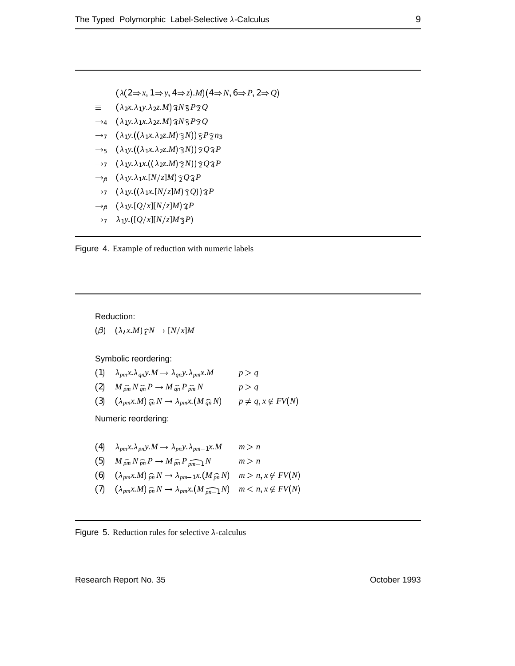$(\lambda(2 \Rightarrow x, 1 \Rightarrow y, 4 \Rightarrow z).M)(4 \Rightarrow N, 6 \Rightarrow P, 2 \Rightarrow Q)$ 

- $\equiv (\lambda_2 x.\lambda_1 y.\lambda_2 z.M) \hat{a} N \hat{b} P \hat{c} Q$
- $\rightarrow$  4 ( $\lambda_1 y \cdot \lambda_1 x \cdot \lambda_2 z \cdot M$ )  $\widehat{A} N \widehat{S} P \widehat{Z} Q$
- $\rightarrow$ <sub>7</sub> ( $\lambda_1 y.((\lambda_1 x.\lambda_2 z.M)\hat{\sigma}N)$ ) $\hat{\sigma}P\hat{\sigma}n_3$
- $\rightarrow$  5  $(\lambda_1 y \cdot ((\lambda_1 x \cdot \lambda_2 z \cdot M) \hat{\beta} N)) \hat{\gamma} Q \hat{\alpha} P$
- $\rightarrow$ <sup>7</sup>  $(\lambda_1 y.\lambda_1 x.((\lambda_2 z.M)\hat{z}N))\hat{z}Q\hat{z}P$
- $\rightarrow$   $\beta$   $(\lambda_1 y.\lambda_1 x.[N/z]M)\hat{z}Q\hat{q}P$
- $\rightarrow$  7 ( $\lambda_1 y \cdot ((\lambda_1 x \cdot [N/z]M) \hat{\tau} Q) \hat{\tau} P$
- $\rightarrow$   $\beta$   $(\lambda_1 y \cdot [Q/x][N/z]M)$ <sup>2</sup> $P$
- $\rightarrow$ <sub>7</sub>  $\lambda_1 y \cdot ([Q/x][N/z]M_3 P)$



#### Reduction:

 $(\beta)$   $(\lambda_t x.M) \hat{\imath}^N \rightarrow [N/x]M$ 

Symbolic reordering:

(1) 
$$
\lambda_{pm}x.\lambda_{qn}y.M \rightarrow \lambda_{qn}y.\lambda_{pm}x.M
$$
  $p > q$   
\n(2)  $M_{\hat{p}\hat{m}}N_{\hat{q}\hat{n}}P \rightarrow M_{\hat{q}\hat{n}}P_{\hat{p}\hat{m}}N$   $p > q$   
\n(3)  $(\lambda_{pm}x.M)_{\hat{q}\hat{n}}N \rightarrow \lambda_{pm}x.(M_{\hat{q}\hat{n}}N)$   $p \neq q, x \notin FV(N)$ 

Numeric reordering:

(4) 
$$
\lambda_{pm}x.\lambda_{pn}y.M \rightarrow \lambda_{pn}y.\lambda_{pm-1}x.M
$$
  $m > n$   
\n(5)  $M_{\hat{p}\hat{m}}N_{\hat{p}\hat{n}}P \rightarrow M_{\hat{p}\hat{n}}P_{\hat{p}\hat{m-1}}N$   $m > n$   
\n(6)  $(\lambda_{pm}x.M)_{\hat{p}\hat{n}}N \rightarrow \lambda_{pm-1}x.(M_{\hat{p}\hat{n}}N)$   $m > n, x \notin FV(N)$   
\n(7)  $(\lambda_{pm}x.M)_{\hat{p}\hat{n}}N \rightarrow \lambda_{pm}x.(M_{\hat{p}\hat{n-1}}N)$   $m < n, x \notin FV(N)$ 

#### Figure 5. Reduction rules for selective  $\lambda$ -calculus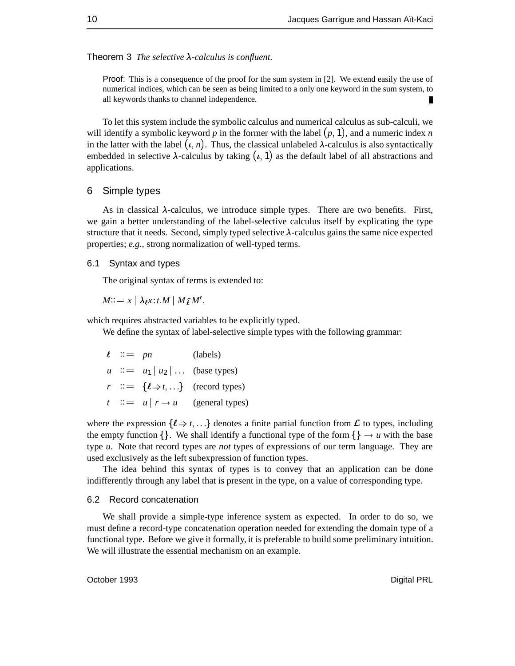Theorem 3 *The selective*  $\lambda$ -calculus is confluent.

Proof: This is a consequence of the proof for the sum system in [2]. We extend easily the use of numerical indices, which can be seen as being limited to a only one keyword in the sum system, to all keywords thanks to channel independence.

To let this system include the symbolic calculus and numerical calculus as sub-calculi, we will identify a symbolic keyword  $p$  in the former with the label  $(p, 1)$ , and a numeric index  $n$ in the latter with the label  $(i, n)$ . Thus, the classical unlabeled  $\lambda$ -calculus is also syntactically embedded in selective  $\lambda$ -calculus by taking  $(\iota, 1)$  as the default label of all abstractions and applications.

#### 6 Simple types

As in classical  $\lambda$ -calculus, we introduce simple types. There are two benefits. First, we gain a better understanding of the label-selective calculus itself by explicating the type structure that it needs. Second, simply typed selective  $\lambda$ -calculus gains the same nice expected properties; *e.g.*, strong normalization of well-typed terms.

#### 6.1 Syntax and types

The original syntax of terms is extended to:

 $M:= x \mid \lambda \rho x : t.M \mid M \hat{\rho} M'.$ 

which requires abstracted variables to be explicitly typed.

We define the syntax of label-selective simple types with the following grammar:

 $\ell$  ::= *pn* (labels)  $u$  ::=  $u_1 | u_2 | \dots$  (base types)  $r$  ::= { $\ell \Rightarrow t, \ldots$ } (record types)  $t$  :  $\equiv$   $u \mid r \rightarrow u$  (general types)

where the expression  $\{\ell \Rightarrow t, \ldots\}$  denotes a finite partial function from  $\mathcal L$  to types, including the empty function  $\{\}$ . We shall identify a functional type of the form  $\{\} \rightarrow u$  with the base type *u*. Note that record types are *not* types of expressions of our term language. They are used exclusively as the left subexpression of function types.

The idea behind this syntax of types is to convey that an application can be done indifferently through any label that is present in the type, on a value of corresponding type.

#### 6.2 Record concatenation

We shall provide a simple-type inference system as expected. In order to do so, we must define a record-type concatenation operation needed for extending the domain type of a functional type. Before we give it formally, it is preferable to build some preliminary intuition. We will illustrate the essential mechanism on an example.

October 1993 Digital PRL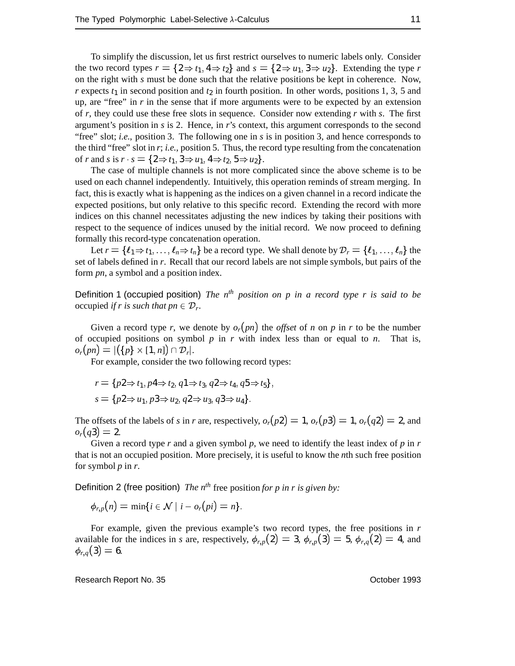To simplify the discussion, let us first restrict ourselves to numeric labels only. Consider the two record types  $r = \{2 \Rightarrow t_1, 4 \Rightarrow t_2\}$  and  $s = \{2 \Rightarrow u_1, 3 \Rightarrow u_2\}$ . Extending the type *r* on the right with *s* must be done such that the relative positions be kept in coherence. Now, *r* expects  $t_1$  in second position and  $t_2$  in fourth position. In other words, positions 1, 3, 5 and up, are "free" in *r* in the sense that if more arguments were to be expected by an extension of *r*, they could use these free slots in sequence. Consider now extending *r* with *s*. The first argument's position in *s* is 2. Hence, in *r*'s context, this argument corresponds to the second "free" slot; *i.e.*, position 3. The following one in *s* is in position 3, and hence corresponds to the third "free" slot in *r*; *i.e.*, position 5. Thus, the record type resulting from the concatenation of *r* and *s* is  $r \cdot s = \{2 \Rightarrow t_1, 3 \Rightarrow u_1, 4 \Rightarrow t_2, 5 \Rightarrow u_2\}.$ 

The case of multiple channels is not more complicated since the above scheme is to be used on each channel independently. Intuitively, this operation reminds of stream merging. In fact, this is exactly what is happening as the indices on a given channel in a record indicate the expected positions, but only relative to this specific record. Extending the record with more indices on this channel necessitates adjusting the new indices by taking their positions with respect to the sequence of indices unused by the initial record. We now proceed to defining formally this record-type concatenation operation.

Let  $r = \{\ell_1 \Rightarrow t_1, \ldots, \ell_n \Rightarrow t_n\}$  be a record type. We shall denote by  $\mathcal{D}_r = \{\ell_1, \ldots, \ell_n\}$  the set of labels defined in *r*. Recall that our record labels are not simple symbols, but pairs of the form *pn*, a symbol and a position index.

Definition 1 (occupied position) *The nth position on p in a record type r is said to be* occupied *if r is such that pn*  $\in \mathcal{D}_r$ .

Given a record type *r*, we denote by  $o_r(pn)$  the *offset* of *n* on *p* in *r* to be the number of occupied positions on symbol *p* in *r* with index less than or equal to *n*. That is, *or*(*pn*) =  $|({p} \times [1, n]) \cap \mathcal{D}_r|$ .

For example, consider the two following record types:

$$
r = \{p2 \Rightarrow t_1, p4 \Rightarrow t_2, q1 \Rightarrow t_3, q2 \Rightarrow t_4, q5 \Rightarrow t_5\},
$$
  
\n
$$
s = \{p2 \Rightarrow u_1, p3 \Rightarrow u_2, q2 \Rightarrow u_3, q3 \Rightarrow u_4\}.
$$

The offsets of the labels of *s* in *r* are, respectively,  $o_r(p2) = 1$ ,  $o_r(p3) = 1$ ,  $o_r(q2) = 2$ , and  $o_r(q_3) = 2.$ 

Given a record type *r* and a given symbol *p*, we need to identify the least index of *p* in *r* that is not an occupied position. More precisely, it is useful to know the *n*th such free position for symbol *p* in *r*.

Definition 2 (free position) *The nth* free position *for p in r is given by:*

$$
\phi_{r,p}(n)=\min\{i\in\mathcal{N}\mid i-o_r(pi)=n\}.
$$

For example, given the previous example's two record types, the free positions in *r* available for the indices in *s* are, respectively,  $\phi_{r,p}(2) = 3$ ,  $\phi_{r,p}(3) = 5$ ,  $\phi_{r,q}(2) = 4$ , and  $\phi_{r,q}(3) = 6.$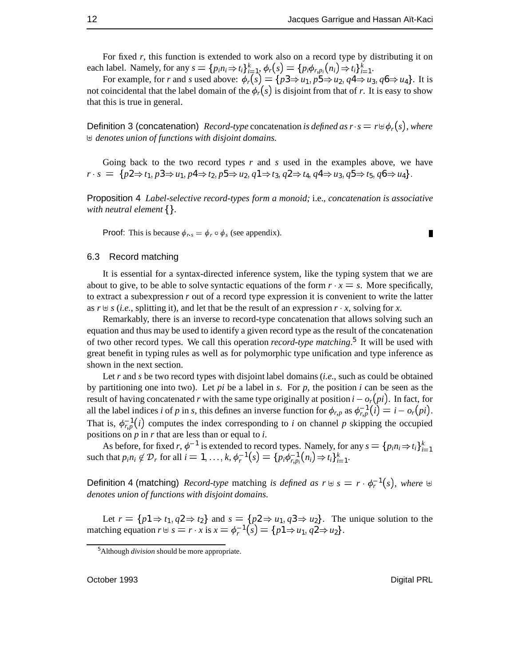For fixed *r*, this function is extended to work also on a record type by distributing it on each label. Namely, for any  $s = \{p_i n_i \Rightarrow t_i\}_{i=1}^k$ ,  $\phi_r(s) = \{p_i \phi_{r, p_i}(n_i) \Rightarrow t_i\}_{i=1}^k$ .

For example, for *r* and *s* used above:  $\phi_r(s) = \{p3 \Rightarrow u_1, p5 \Rightarrow u_2, q4 \Rightarrow u_3, q6 \Rightarrow u_4\}$ . It is not coincidental that the label domain of the  $\phi_r(s)$  is disjoint from that of *r*. It is easy to show that this is true in general.

**Definition 3 (concatenation)** *Record-type* concatenation *is defined as*  $r \cdot s = r \oplus \phi_r(s)$ *, where* ] *denotes union of functions with disjoint domains.*

Going back to the two record types *r* and *s* used in the examples above, we have  $r \cdot s = \{p2 \Rightarrow t_1, p3 \Rightarrow u_1, p4 \Rightarrow t_2, p5 \Rightarrow u_2, q1 \Rightarrow t_3, q2 \Rightarrow t_4, q4 \Rightarrow u_3, q5 \Rightarrow t_5, q6 \Rightarrow u_4\}.$ 

Proposition 4 *Label-selective record-types form a monoid;* i.e.*, concatenation is associative with neutral element* {}.

**Proof:** This is because  $\phi_r$ ,  $\phi_r \circ \phi_s$  (see appendix).

#### 6.3 Record matching

It is essential for a syntax-directed inference system, like the typing system that we are about to give, to be able to solve syntactic equations of the form  $r \cdot x = s$ . More specifically, to extract a subexpression *r* out of a record type expression it is convenient to write the latter as  $r \not\in s$  (*i.e.*, splitting it), and let that be the result of an expression  $r \cdot x$ , solving for x.

Remarkably, there is an inverse to record-type concatenation that allows solving such an equation and thus may be used to identify a given record type as the result of the concatenation of two other record types. We call this operation *record-type matching*. <sup>5</sup> It will be used with great benefit in typing rules as well as for polymorphic type unification and type inference as shown in the next section.

Let *r* and *s* be two record types with disjoint label domains (*i.e.*, such as could be obtained by partitioning one into two). Let *pi* be a label in *s*. For *p*, the position *i* can be seen as the result of having concatenated *r* with the same type originally at position  $i - o_r(p_i)$ . In fact, for all the label indices *i* of *p* in *s*, this defines an inverse function for  $\phi_{r,p}$  as  $\phi_{r,p}^{-1}(i) = i - o_r(pi)$ . That is,  $\phi_{r,p}^{-1}(i)$  computes the index corresponding to *i* on channel *p* skipping the occupied positions on *p* in *r* that are less than or equal to *i*.

As before, for fixed *r*,  $\phi^{-1}$  is extended to record types. Namely, for any  $s = \{p_i n_i \Rightarrow t_i\}_{i=1}^k$ As before, for fixed *r*,  $\varphi$  is extended to record types. Namely, for such that  $p_i n_i \notin \mathcal{D}_r$  for all  $i = 1, ..., k$ ,  $\phi_r^{-1}(s) = \{p_i \phi_{r, p_i}^{-1}(n_i) \Rightarrow t_i\}_{i=1}^k$ .

Definition 4 (matching) *Record-type* matching *is defined as*  $r \oplus s = r \cdot \phi_r^{-1}(s)$ , where  $\oplus$ *denotes union of functions with disjoint domains.*

Let  $r = \{p1 \Rightarrow t_1, q2 \Rightarrow t_2\}$  and  $s = \{p2 \Rightarrow u_1, q3 \Rightarrow u_2\}$ . The unique solution to the matching equation  $r \oplus s = r \cdot x$  is  $x = \phi_r^{-1}(s) = \{p1 \Rightarrow u_1, q2 \Rightarrow u_2\}.$ 

П

<sup>5</sup> Although *division* should be more appropriate.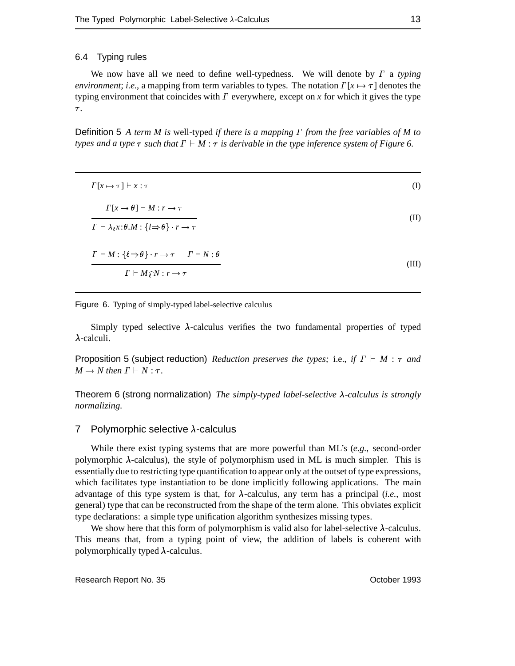#### 6.4 Typing rules

We now have all we need to define well-typedness. We will denote by  $\Gamma$  a typing *environment*; *i.e.*, a mapping from term variables to types. The notation  $\Gamma[x \mapsto \tau]$  denotes the typing environment that coincides with  $\Gamma$  everywhere, except on  $x$  for which it gives the type  $\tau$ .

Definition 5 *A term M is* well-typed *if there is a mapping from the free variables of M to types and a type*  $\tau$  *such that*  $\Gamma \vdash M : \tau$  *is derivable in the type inference system of Figure* 6.

| $\Gamma[x \mapsto \tau] \vdash x : \tau$                                                                                                            | (I)   |
|-----------------------------------------------------------------------------------------------------------------------------------------------------|-------|
| $\Gamma[x \mapsto \theta] \vdash M : r \to \tau$<br>$\Gamma \vdash \lambda_{\ell} x : \theta \colon \{l \Rightarrow \theta\} \cdot r \to \tau$      | (II)  |
| $\Gamma \vdash M : \{\ell \Rightarrow \theta\} \cdot r \rightarrow \tau \quad \Gamma \vdash N : \theta$<br>$\Gamma \vdash M \hat{r} N : r \to \tau$ | (III) |

Figure 6. Typing of simply-typed label-selective calculus

Simply typed selective  $\lambda$ -calculus verifies the two fundamental properties of typed  $\lambda$ -calculi.

Proposition 5 (subject reduction) *Reduction preserves the types;* i.e., if  $\Gamma \vdash M$  :  $\tau$  and  $M \rightarrow N$  then  $\Gamma \vdash N : \tau$ .

Theorem 6 (strong normalization) *The simply-typed label-selective -calculus is strongly normalizing.*

#### 7 Polymorphic selective  $\lambda$ -calculus

While there exist typing systems that are more powerful than ML's (*e.g.*, second-order polymorphic  $\lambda$ -calculus), the style of polymorphism used in ML is much simpler. This is essentially due to restricting type quantification to appear only at the outset of type expressions, which facilitates type instantiation to be done implicitly following applications. The main advantage of this type system is that, for  $\lambda$ -calculus, any term has a principal (*i.e.*, most general) type that can be reconstructed from the shape of the term alone. This obviates explicit type declarations: a simple type unification algorithm synthesizes missing types.

We show here that this form of polymorphism is valid also for label-selective  $\lambda$ -calculus. This means that, from a typing point of view, the addition of labels is coherent with polymorphically typed  $\lambda$ -calculus.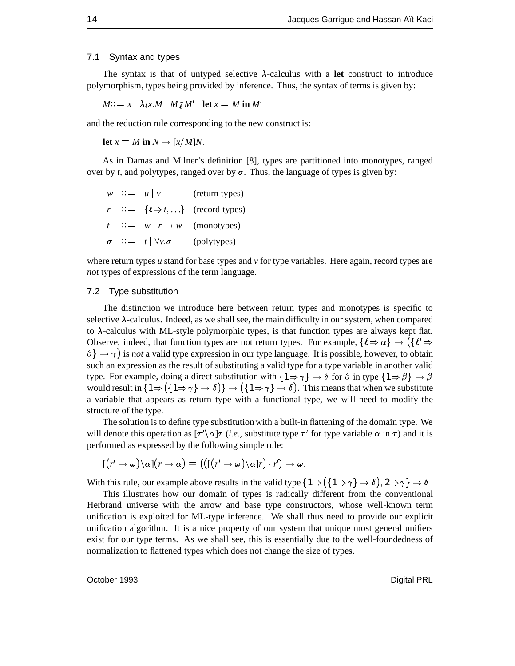#### 7.1 Syntax and types

The syntax is that of untyped selective  $\lambda$ -calculus with a **let** construct to introduce polymorphism, types being provided by inference. Thus, the syntax of terms is given by:

 $M:= x \mid \lambda \in M \mid M \hat{\tau} M' \mid \text{let } x = M \text{ in } M'$ 

and the reduction rule corresponding to the new construct is:

**let**  $x = M$  in  $N \rightarrow \lceil x/M \rceil N$ .

As in Damas and Milner's definition [8], types are partitioned into monotypes, ranged over by *t*, and polytypes, ranged over by  $\sigma$ . Thus, the language of types is given by:

*w*  $::= u | v$  (return types)  $r$  :  $\equiv \{l \Rightarrow t, ...\}$  (record types) *t* ::=  $w \mid r \rightarrow w$  (monotypes)  $\sigma$  ::=  $t | \forall v.\sigma$  (polytypes)

where return types  $u$  stand for base types and  $v$  for type variables. Here again, record types are *not* types of expressions of the term language.

#### 7.2 Type substitution

The distinction we introduce here between return types and monotypes is specific to selective  $\lambda$ -calculus. Indeed, as we shall see, the main difficulty in our system, when compared to  $\lambda$ -calculus with ML-style polymorphic types, is that function types are always kept flat. to *A*-calculus with ML-style polymorphic types, is that function types are always kept hat.<br>Observe, indeed, that function types are not return types. For example,  $\{\ell \Rightarrow \alpha\} \rightarrow (\{\ell' \Rightarrow$  $\beta$   $\rightarrow \gamma$  is *not* a valid type expression in our type language. It is possible, however, to obtain such an expression as the result of substituting a valid type for a type variable in another valid type. For example, doing a direct substitution with  $\{1 \Rightarrow \gamma\} \rightarrow \delta$  for  $\beta$  in type  $\{1 \Rightarrow \beta\} \rightarrow \beta$ would result in  $\{1 \Rightarrow (\{1 \Rightarrow \gamma\} \rightarrow \delta)\}\rightarrow (\{1 \Rightarrow \gamma\} \rightarrow \delta)$ . This means that when we substitute a variable that appears as return type with a functional type, we will need to modify the structure of the type.

The solution is to define type substitution with a built-in flattening of the domain type. We will denote this operation as  $[\tau' \setminus \alpha] \tau$  (*i.e.*, substitute type  $\tau'$  for type variable  $\alpha$  in  $\tau$ ) and it is performed as expressed by the following simple rule:

$$
[(r'\rightarrow\omega)\backslash\alpha](r\rightarrow\alpha)=(([r'\rightarrow\omega)\backslash\alpha]r)\cdot r')\rightarrow\omega.
$$

With this rule, our example above results in the valid type  $\{1 \Rightarrow (\{1 \Rightarrow \gamma\} \rightarrow \delta), 2 \Rightarrow \gamma\} \rightarrow \delta$ 

This illustrates how our domain of types is radically different from the conventional Herbrand universe with the arrow and base type constructors, whose well-known term unification is exploited for ML-type inference. We shall thus need to provide our explicit unification algorithm. It is a nice property of our system that unique most general unifiers exist for our type terms. As we shall see, this is essentially due to the well-foundedness of normalization to flattened types which does not change the size of types.

October 1993 Digital PRL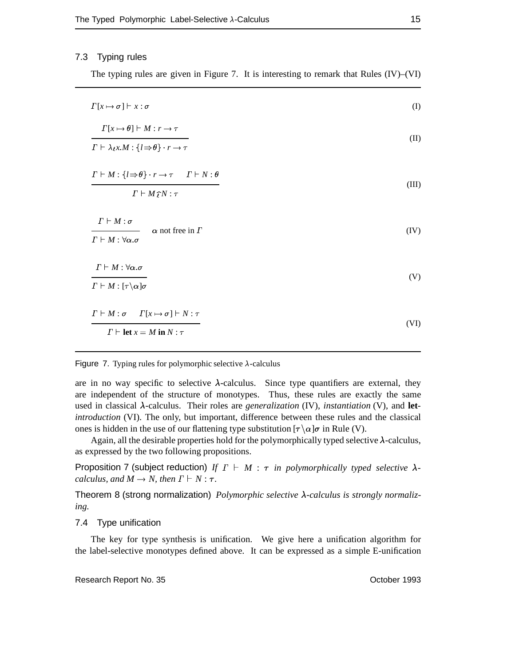#### 7.3 Typing rules

The typing rules are given in Figure 7. It is interesting to remark that Rules (IV)–(VI)

| $\Gamma[x \mapsto \sigma] \vdash x : \sigma$                                                                                                    | (I)   |
|-------------------------------------------------------------------------------------------------------------------------------------------------|-------|
| $\Gamma[x \mapsto \theta] \vdash M : r \rightarrow \tau$<br>$\Gamma \vdash \lambda_l x.M : \{l \Rightarrow \theta\} \cdot r \rightarrow \tau$   | (II)  |
| $\Gamma \vdash M : \{l \Rightarrow \theta\} \cdot r \rightarrow \tau \quad \Gamma \vdash N : \theta$<br>$\Gamma \vdash M \hat{\jmath} N : \tau$ | (III) |
| $\Gamma \vdash M : \sigma$<br>$\alpha$ not free in $\Gamma$<br>$\Gamma \vdash M : \forall \alpha . \sigma$                                      | (IV)  |
| $\Gamma \vdash M : \forall \alpha . \sigma$<br>$\Gamma \vdash M : [\tau \backslash \alpha] \sigma$                                              | (V)   |
| $\Gamma \vdash M : \sigma \quad \Gamma[x \mapsto \sigma] \vdash N : \tau$<br>$\Gamma \vdash \text{let } x = M \text{ in } N : \tau$             | (VI)  |

#### Figure 7. Typing rules for polymorphic selective  $\lambda$ -calculus

are in no way specific to selective  $\lambda$ -calculus. Since type quantifiers are external, they are independent of the structure of monotypes. Thus, these rules are exactly the same used in classical  $\lambda$ -calculus. Their roles are *generalization* (IV), *instantiation* (V), and **let***introduction* (VI). The only, but important, difference between these rules and the classical ones is hidden in the use of our flattening type substitution  $[\tau \setminus \alpha]$  in Rule (V).

Again, all the desirable properties hold for the polymorphically typed selective  $\lambda$ -calculus, as expressed by the two following propositions.

Proposition 7 (subject reduction) *If*  $\Gamma \vdash M : \tau$  *in polymorphically typed selective*  $\lambda$ *calculus, and*  $M \rightarrow N$ *, then*  $\Gamma \vdash N : \tau$ *.* 

Theorem 8 (strong normalization) *Polymorphic selective λ-calculus is strongly normalizing.*

#### 7.4 Type unification

The key for type synthesis is unification. We give here a unification algorithm for the label-selective monotypes defined above. It can be expressed as a simple E-unification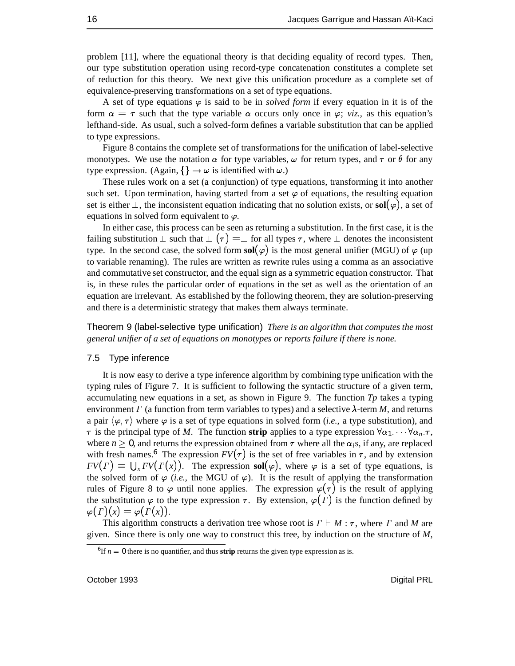problem [11], where the equational theory is that deciding equality of record types. Then, our type substitution operation using record-type concatenation constitutes a complete set of reduction for this theory. We next give this unification procedure as a complete set of equivalence-preserving transformations on a set of type equations.

A set of type equations  $\varphi$  is said to be in *solved form* if every equation in it is of the form  $\alpha = \tau$  such that the type variable  $\alpha$  occurs only once in  $\varphi$ ; *viz.*, as this equation's lefthand-side. As usual, such a solved-form defines a variable substitution that can be applied to type expressions.

Figure 8 contains the complete set of transformations for the unification of label-selective monotypes. We use the notation  $\alpha$  for type variables,  $\omega$  for return types, and  $\tau$  or  $\theta$  for any type expression. (Again,  $\{\}\rightarrow \omega$  is identified with  $\omega$ .)

These rules work on a set (a conjunction) of type equations, transforming it into another such set. Upon termination, having started from a set  $\varphi$  of equations, the resulting equation set is either  $\perp$ , the inconsistent equation indicating that no solution exists, or **sol**( $\varphi$ ), a set of equations in solved form equivalent to  $\varphi$ .

In either case, this process can be seen as returning a substitution. In the first case, it is the failing substitution  $\perp$  such that  $\perp (\tau) = \perp$  for all types  $\tau$ , where  $\perp$  denotes the inconsistent type. In the second case, the solved form  $sol(\varphi)$  is the most general unifier (MGU) of  $\varphi$  (up to variable renaming). The rules are written as rewrite rules using a comma as an associative and commutative set constructor, and the equal sign as a symmetric equation constructor. That is, in these rules the particular order of equations in the set as well as the orientation of an equation are irrelevant. As established by the following theorem, they are solution-preserving and there is a deterministic strategy that makes them always terminate.

Theorem 9 (label-selective type unification) *There is an algorithm that computes the most general unifier of a set of equations on monotypes or reports failure if there is none.*

#### 7.5 Type inference

It is now easy to derive a type inference algorithm by combining type unification with the typing rules of Figure 7. It is sufficient to following the syntactic structure of a given term, accumulating new equations in a set, as shown in Figure 9. The function *Tp* takes a typing environment  $\Gamma$  (a function from term variables to types) and a selective  $\lambda$ -term *M*, and returns a pair  $\langle \varphi, \tau \rangle$  where  $\varphi$  is a set of type equations in solved form (*i.e.*, a type substitution), and  $\tau$  is the principal type of *M*. The function **strip** applies to a type expression  $\forall \alpha_1 \cdots \forall \alpha_n$ . where  $n \geq 0$ , and returns the expression obtained from  $\tau$  where all the  $\alpha_i$ s, if any, are replaced with fresh names.<sup>6</sup> The expression  $FV(\tau)$  is the set of free variables in  $\tau$ , and by extension  $FV(\Gamma) = \bigcup_{x} FV(\Gamma(x))$ . The expression **sol**( $\varphi$ ), where  $\varphi$  is a set of type equations, is the solved form of  $\varphi$  (*i.e.*, the MGU of  $\varphi$ ). It is the result of applying the transformation rules of Figure 8 to  $\varphi$  until none applies. The expression  $\varphi(\tau)$  is the result of applying the substitution  $\varphi$  to the type expression  $\tau$ . By extension,  $\varphi(\Gamma)$  is the function defined by  $\varphi(\Gamma)(x) = \varphi(\Gamma(x)).$ 

This algorithm constructs a derivation tree whose root is  $\Gamma \vdash M : \tau$ , where  $\Gamma$  and M are given. Since there is only one way to construct this tree, by induction on the structure of *M*,

<sup>&</sup>lt;sup>6</sup>If  $n = 0$  there is no quantifier, and thus **strip** returns the given type expression as is.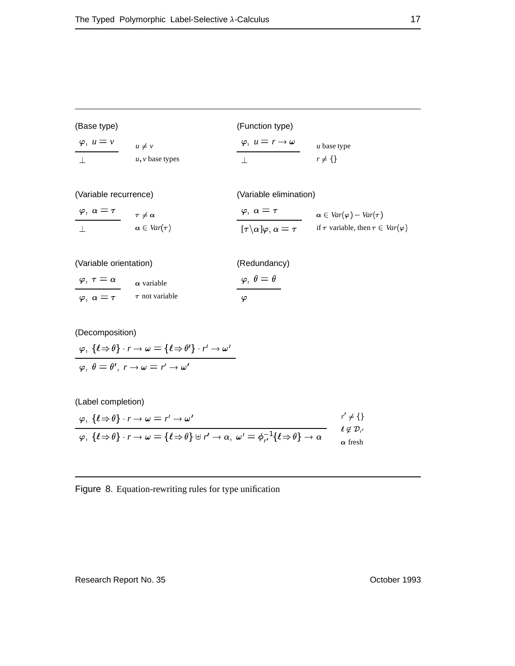| (Base type)         |                   | (Function type)                     |               |  |
|---------------------|-------------------|-------------------------------------|---------------|--|
| $\varphi$ , $u = v$ | $u \neq v$        | $\varphi, u = r \rightarrow \omega$ | $u$ base type |  |
|                     | $u, v$ base types |                                     | $r \neq \{\}$ |  |

(Variable recurrence)

(Variable elimination)

| $\varphi,\ \alpha=\tau$ | $\tau\neq\alpha$       | $\varphi$ , $\alpha = \tau$                       | $\alpha \in Var(\varphi) - Var(\tau)$            |
|-------------------------|------------------------|---------------------------------------------------|--------------------------------------------------|
|                         | $\alpha \in Var(\tau)$ | $[\tau \backslash \alpha] \varphi, \alpha = \tau$ | if $\tau$ variable, then $\tau \in Var(\varphi)$ |

| (Variable orientation)      |                     | (Redundancy)               |
|-----------------------------|---------------------|----------------------------|
| $\varphi$ , $\tau = \alpha$ | $\alpha$ variable   | $\varphi, \theta = \theta$ |
| $\varphi$ $\alpha = \tau$   | $\tau$ not variable | Ø                          |

(Decomposition)  
\n
$$
\varphi
$$
,  $\{\ell \Rightarrow \theta\} \cdot r \rightarrow \omega = \{\ell \Rightarrow \theta'\} \cdot r' \rightarrow \omega'$   
\n $\varphi$ ,  $\theta = \theta'$ ,  $r \rightarrow \omega = r' \rightarrow \omega'$ 

(Label completion)

$$
\frac{\varphi, \{\ell \Rightarrow \theta\} \cdot r \to \omega = r' \to \omega'}{\varphi, \{\ell \Rightarrow \theta\} \cdot r \to \omega = \{\ell \Rightarrow \theta\} \uplus r' \to \alpha, \ \omega' = \phi_{r'}^{-1}\{\ell \Rightarrow \theta\} \to \alpha} \qquad \begin{array}{c} r' \neq \{\} \\ \ell \notin \mathcal{D}_{r'} \\ \alpha \text{ fresh} \end{array}
$$

Figure 8. Equation-rewriting rules for type unification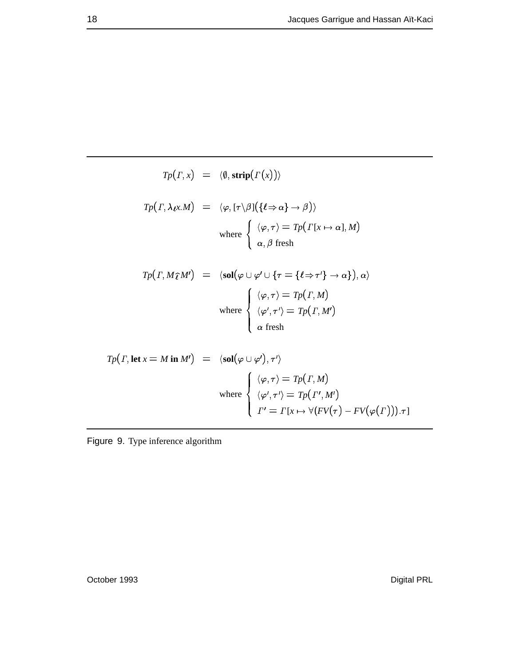$$
T_P(\Gamma, x) = \langle \emptyset, \operatorname{strip}(\Gamma(x)) \rangle
$$

$$
Tp(\Gamma, \lambda \ell x.M) = \langle \varphi, [\tau \setminus \beta] (\{\ell \Rightarrow \alpha\} \to \beta) \rangle
$$
  
where 
$$
\begin{cases} \langle \varphi, \tau \rangle = Tp(\Gamma[x \mapsto \alpha], M) \\ \alpha, \beta \text{ fresh} \end{cases}
$$

$$
Tp(T, M\hat{\ell}M') = \langle sol(\varphi \cup \varphi' \cup \{\tau = \{\ell \Rightarrow \tau'\} \to \alpha\}), \alpha \rangle
$$
  
where  

$$
\begin{cases} \langle \varphi, \tau \rangle = Tp(T, M) \\ \langle \varphi', \tau' \rangle = Tp(T, M') \\ \alpha \text{ fresh} \end{cases}
$$

$$
Tp(T, \text{let } x = M \text{ in } M') = \langle \text{sol}(\varphi \cup \varphi'), \tau' \rangle
$$
  

$$
\text{where } \begin{cases} \langle \varphi, \tau \rangle = Tp(T, M) \\ \langle \varphi', \tau' \rangle = Tp(T', M') \\ \Gamma' = \Gamma[x \mapsto \forall (FV(\tau) - FV(\varphi(T))).\tau] \end{cases}
$$

Figure 9. Type inference algorithm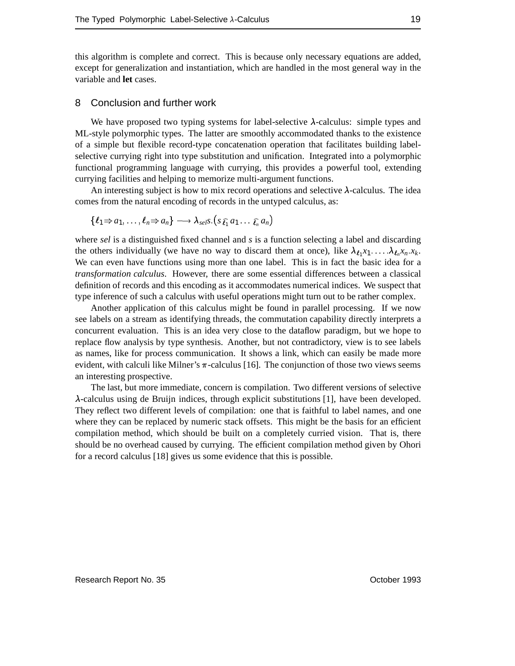this algorithm is complete and correct. This is because only necessary equations are added, except for generalization and instantiation, which are handled in the most general way in the variable and **let** cases.

#### 8 Conclusion and further work

We have proposed two typing systems for label-selective  $\lambda$ -calculus: simple types and ML-style polymorphic types. The latter are smoothly accommodated thanks to the existence of a simple but flexible record-type concatenation operation that facilitates building labelselective currying right into type substitution and unification. Integrated into a polymorphic functional programming language with currying, this provides a powerful tool, extending currying facilities and helping to memorize multi-argument functions.

An interesting subject is how to mix record operations and selective  $\lambda$ -calculus. The idea comes from the natural encoding of records in the untyped calculus, as:

$$
\{\ell_1 \Rightarrow a_1, \ldots, \ell_n \Rightarrow a_n\} \longrightarrow \lambda_{\text{self}} S. (s_{\widehat{\ell_1}} a_1 \ldots \widehat{\ell_n} a_n)
$$

where *sel* is a distinguished fixed channel and *s* is a function selecting a label and discarding the others individually (we have no way to discard them at once), like  $\lambda_{l_1} x_1 \dots \lambda_{l_n} x_n x_k$ . We can even have functions using more than one label. This is in fact the basic idea for a *transformation calculus*. However, there are some essential differences between a classical definition of records and this encoding as it accommodates numerical indices. We suspect that type inference of such a calculus with useful operations might turn out to be rather complex.

Another application of this calculus might be found in parallel processing. If we now see labels on a stream as identifying threads, the commutation capability directly interprets a concurrent evaluation. This is an idea very close to the dataflow paradigm, but we hope to replace flow analysis by type synthesis. Another, but not contradictory, view is to see labels as names, like for process communication. It shows a link, which can easily be made more evident, with calculi like Milner's  $\pi$ -calculus [16]. The conjunction of those two views seems an interesting prospective.

The last, but more immediate, concern is compilation. Two different versions of selective  $\lambda$ -calculus using de Bruijn indices, through explicit substitutions [1], have been developed. They reflect two different levels of compilation: one that is faithful to label names, and one where they can be replaced by numeric stack offsets. This might be the basis for an efficient compilation method, which should be built on a completely curried vision. That is, there should be no overhead caused by currying. The efficient compilation method given by Ohori for a record calculus [18] gives us some evidence that this is possible.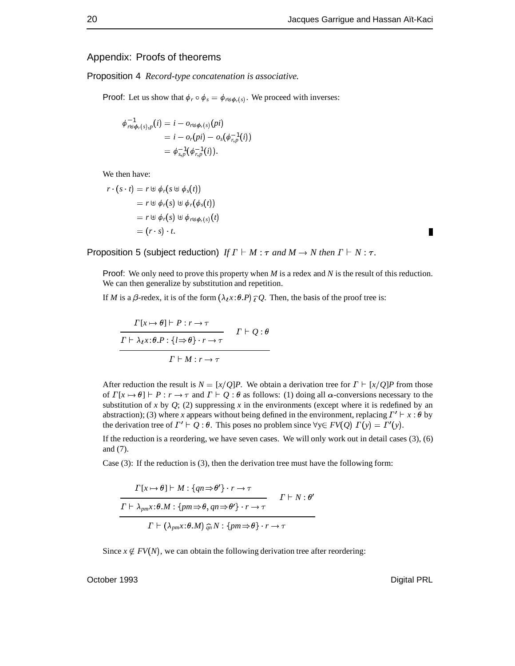#### Appendix: Proofs of theorems

Proposition 4 *Record-type concatenation is associative.*

**Proof:** Let us show that  $\phi_r \circ \phi_s = \phi_{r \uplus \phi_r(s)}$ . We proceed with inverses:

$$
\phi^{-1}_{r \uplus \phi_r(s),p}(i) = i - o_{r \uplus \phi_r(s)}(pi) \n= i - o_r(pi) - o_s(\phi_{r,p}^{-1}(i)) \n= \phi_{s,p}^{-1}(\phi_{r,p}^{-1}(i)).
$$

We then have:

$$
r \cdot (s \cdot t) = r \oplus \phi_r(s \oplus \phi_s(t))
$$
  
=  $r \oplus \phi_r(s) \oplus \phi_r(\phi_s(t))$   
=  $r \oplus \phi_r(s) \oplus \phi_{r \oplus \phi_r(s)}(t)$   
=  $(r \cdot s) \cdot t$ .

Proposition 5 (subject reduction) *If*  $\Gamma \vdash M : \tau$  and  $M \rightarrow N$  then  $\Gamma \vdash N : \tau$ .

Proof: We only need to prove this property when *M* is a redex and *N* is the result of this reduction. We can then generalize by substitution and repetition.

If *M* is a  $\beta$ -redex, it is of the form  $(\lambda \chi : \theta.P) \hat{\jmath} Q$ . Then, the basis of the proof tree is:

$$
\frac{\Gamma[x \mapsto \theta] \vdash P : r \to \tau}{\Gamma \vdash \lambda_t x : \theta \cdot P : \{l \Rightarrow \theta\} \cdot r \to \tau} \qquad \Gamma \vdash Q : \theta
$$
\n
$$
\frac{\Gamma \vdash M : r \to \tau}{\Gamma \vdash M : r \to \tau}
$$

After reduction the result is  $N = \frac{x}{Q}P$ . We obtain a derivation tree for  $\Gamma \vdash \frac{x}{Q}P$  from those of  $\Gamma[x \mapsto \theta] \vdash P : r \to \tau$  and  $\Gamma \vdash Q : \theta$  as follows: (1) doing all  $\alpha$ -conversions necessary to the substitution of *x* by  $Q$ ; (2) suppressing *x* in the environments (except where it is redefined by an abstraction); (3) where *x* appears without being defined in the environment, replacing  $\Gamma' \vdash x : \theta$  by the derivation tree of  $\Gamma' \vdash Q : \theta$ . This poses no problem since  $\forall y \in FV(Q)$   $\Gamma(y) = \Gamma'(y)$ .

If the reduction is a reordering, we have seven cases. We will only work out in detail cases (3), (6) and (7).

Case (3): If the reduction is (3), then the derivation tree must have the following form:

$$
\frac{\Gamma[x \mapsto \theta] \vdash M : \{qn \Rightarrow \theta'\} \cdot r \to \tau}{\Gamma \vdash \lambda_{pm}x : \theta.M : \{pm \Rightarrow \theta, qn \Rightarrow \theta'\} \cdot r \to \tau} \qquad \Gamma \vdash N : \theta'
$$

$$
\Gamma \vdash (\lambda_{pm}x : \theta.M) \widehat{q_n} N : \{pm \Rightarrow \theta\} \cdot r \to \tau
$$

Since  $x \notin FV(N)$ , we can obtain the following derivation tree after reordering:

October 1993 Digital PRL

П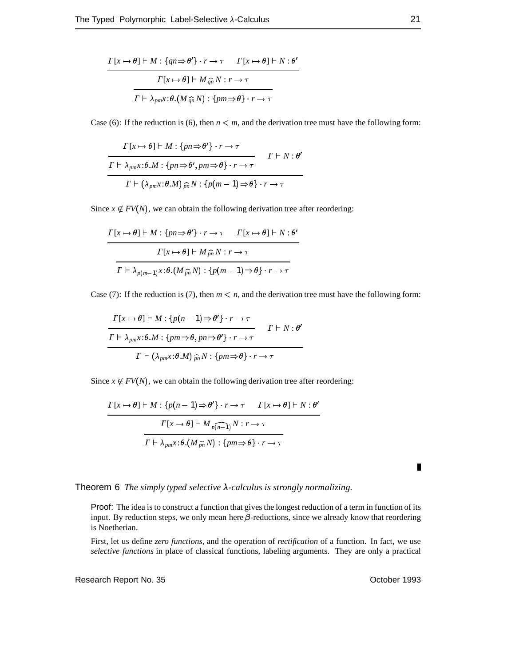$$
\frac{\Gamma[x \mapsto \theta] \vdash M : \{qn \Rightarrow \theta'\} \cdot r \to \tau \quad \Gamma[x \mapsto \theta] \vdash N : \theta'}{\Gamma[x \mapsto \theta] \vdash M \widehat{q}_n N : r \to \tau}
$$
\n
$$
\frac{\Gamma[x \mapsto \theta] \vdash M \widehat{q}_n N : r \to \tau}{\Gamma \vdash \lambda_{pm} x : \theta.(M \widehat{q}_n N) : \{pm \phi\} \cdot r \to \tau}
$$

Case (6): If the reduction is (6), then  $n < m$ , and the derivation tree must have the following form:

$$
\frac{\Gamma[x \mapsto \theta] \vdash M : \{pn \Rightarrow \theta'\} \cdot r \to \tau}{\Gamma \vdash \lambda_{pm}x : \theta.M : \{pn \Rightarrow \theta', pm \Rightarrow \theta\} \cdot r \to \tau} \qquad \Gamma \vdash N : \theta'
$$
\n
$$
\frac{\Gamma \vdash (\lambda_{pm}x : \theta.M) \widehat{\rho_n} N : \{p(m-1) \Rightarrow \theta\} \cdot r \to \tau}{\Gamma \vdash (\lambda_{pm}x : \theta.M) \widehat{\rho_n} N : \{p(m-1) \Rightarrow \theta\} \cdot r \to \tau}
$$

Since  $x \notin FV(N)$ , we can obtain the following derivation tree after reordering:

$$
\frac{\Gamma[x \mapsto \theta] \vdash M : \{pn \Rightarrow \theta'\} \cdot r \to \tau \quad \Gamma[x \mapsto \theta] \vdash N : \theta'}{\Gamma[x \mapsto \theta] \vdash M \widehat{p}_n N : r \to \tau}
$$
\n
$$
\frac{\Gamma[x \mapsto \theta] \vdash M \widehat{p}_n N : r \to \tau}{\Gamma \vdash \lambda_{p(m-1)} x : \theta.(M \widehat{p}_n N) : \{p(m-1) \Rightarrow \theta\} \cdot r \to \tau}
$$

Case (7): If the reduction is (7), then  $m < n$ , and the derivation tree must have the following form:

$$
\frac{\Gamma[x \mapsto \theta] \vdash M : \{p(n-1) \Rightarrow \theta'\} \cdot r \to \tau}{\Gamma \vdash \lambda_{pm}x : \theta.M : \{pm \Rightarrow \theta, pn \Rightarrow \theta'\} \cdot r \to \tau} \qquad \Gamma \vdash N : \theta'
$$
\n
$$
\frac{\Gamma \vdash (\lambda_{pm}x : \theta.M) \hat{p}_n N : \{pm \Rightarrow \theta\} \cdot r \to \tau}{\Gamma \vdash (\lambda_{pm}x : \theta.M) \hat{p}_n N : \{pm \Rightarrow \theta\} \cdot r \to \tau}
$$

Since  $x \notin FV(N)$ , we can obtain the following derivation tree after reordering:

$$
\frac{\Gamma[x \mapsto \theta] \vdash M : \{p(n-1) \Rightarrow \theta'\} \cdot r \to \tau \quad \Gamma[x \mapsto \theta] \vdash N : \theta'}{\Gamma[x \mapsto \theta] \vdash M_{p(n-1)} N : r \to \tau}
$$
\n
$$
\frac{\Gamma[x \mapsto \theta] \vdash M_{p(n-1)} N : r \to \tau}{\Gamma \vdash \lambda_{pm} x : \theta.(M_{pn}^{-} N) : \{pm \phi\} \cdot r \to \tau}
$$

Theorem 6 *The simply typed selective* λ-calculus is *strongly normalizing*.

Proof: The idea is to construct a function that gives the longest reduction of a term in function of its input. By reduction steps, we only mean here  $\beta$ -reductions, since we already know that reordering is Noetherian.

First, let us define *zero functions*, and the operation of *rectification* of a function. In fact, we use *selective functions* in place of classical functions, labeling arguments. They are only a practical

Research Report No. 35 **October 1993** 

 $\blacksquare$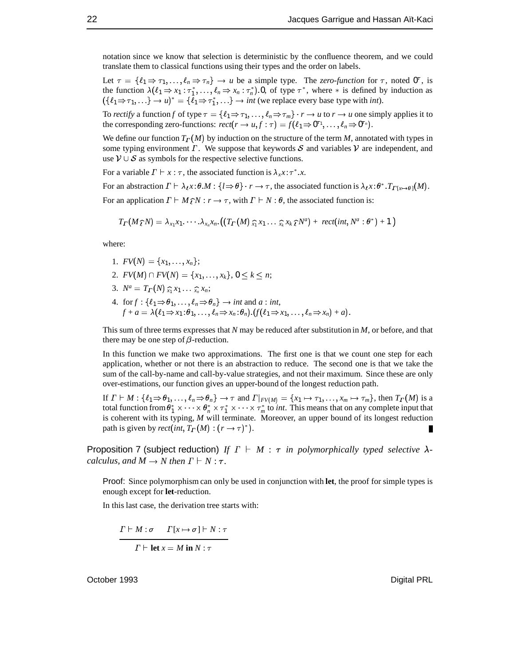notation since we know that selection is deterministic by the confluence theorem, and we could translate them to classical functions using their types and the order on labels.

Let  $\tau = \{\ell_1 \Rightarrow \tau_1, \ldots, \ell_n \Rightarrow \tau_n\} \rightarrow u$  be a simple type. The *zero-function* for  $\tau$ , noted  $0^{\tau}$ , is Let  $\tau = \{\ell_1 \Rightarrow \tau_1, ..., \ell_n \Rightarrow \tau_n\} \rightarrow u$  be a simple type. The *zero-function* for  $\tau$ , noted  $0^{\tau}$ , is the function  $\lambda(\ell_1 \Rightarrow x_1 : \tau_1^*, ..., \ell_n \Rightarrow x_n : \tau_n^*)$ .0, of type  $\tau^*$ , where  $*$  is defined by induction as  $(\{\ell_1 \Rightarrow \tau_1, ...\} \rightarrow u)^* = \{\ell_1 \Rightarrow \tau_1^*, ...\} \rightarrow int$  (we replace every base type with *int*).<br>To *rectify* a function f of type  $\tau = \{\ell_1 \Rightarrow \tau_1, \ldots, \ell_r \Rightarrow \tau_m\} \cdot r \rightarrow u$  to  $r \rightarrow u$  one simple.

To *rectify* a function *f* of type  $\tau = \{\ell_1 \Rightarrow \tau_1, \ldots, \ell_n \Rightarrow \tau_m\} \cdot r \to u$  to  $r \to u$  one simply applies it to the corresponding zero-functions:  $rect(r \to u, f : \tau) = f(\ell_1 \Rightarrow 0^{\tau_1}, \ldots, \ell_n \Rightarrow 0^{\tau_n}).$ 

We define our function  $T_T(M)$  by induction on the structure of the term *M*, annotated with types in some typing environment  $\Gamma$ . We suppose that keywords  $S$  and variables  $V$  are independent, and use  $V \cup S$  as symbols for the respective selective functions.

For a variable  $\Gamma \vdash x : \tau$ , the associated function is  $\lambda_x x : \tau^* . x$ 

For a variable  $\Gamma \vdash x : \tau$ , the associated function is  $\lambda_x x : \tau^* . x$ .<br>For an abstraction  $\Gamma \vdash \lambda_t x : \theta . M : \{l \Rightarrow \theta\} \cdot r \rightarrow \tau$ , the associ  $\forall \lambda \in \mathcal{X}: \theta \cdot M : \{l \Rightarrow \theta\} \cdot r \rightarrow \tau$ , the associated function is  $\lambda \in \mathcal{X}: \theta^* \cdot T_{\Gamma[x \mapsto \theta]}(M)$ .<br>  $\vdash M \cap \{r \mapsto \tau\}$  with  $\Gamma \vdash N \cdot \theta$  the associated function is: For an application  $\Gamma \vdash M \hat{\tau} N : r \to \tau$ , with  $\Gamma \vdash N : \theta$ , the associated function is:

$$
T_{\boldsymbol{\varGamma}}(M\,\widehat{\boldsymbol{\varGamma}}\,N)=\lambda_{x_1}x_1.\cdot\cdot\cdot.\lambda_{x_n}x_n.\left(\left(T_{\boldsymbol{\varGamma}}\,(M)\,\widehat{\!}_{x_1}\,x_1\ldots\,\widehat{\!}_{x_k}\,x_k\,\widehat{\!\boldsymbol{\varGamma}}\,N^a\right)+\,rect(int,N^a:\theta^*)+1\,\right)
$$

where:

- 1.  $FV(N) = \{x_1, \ldots, x_n\};$
- 2.  $FV(M) \cap FV(N) = \{x_1, \ldots, x_k\}, 0 \le k \le n;$
- 3.  $N^a = T_P(N) \hat{x}_1 x_1 \dots \hat{x}_n x_n;$
- 4. for  $f: \{\ell_1 \Rightarrow \theta_1, ..., \ell_n \Rightarrow \theta_n\} \rightarrow int$  and  $a: int$ ,<br> $f + a = \lambda(\ell_1 \Rightarrow x_1 : \theta_1, ..., \ell_n \Rightarrow x_n : \theta_n). (f(\ell_1 \Rightarrow x_1, ..., \ell_n \Rightarrow x_n) + a).$

This sum of three terms expresses that *N* may be reduced after substitution in *M*, or before, and that there may be one step of  $\beta$ -reduction.

In this function we make two approximations. The first one is that we count one step for each application, whether or not there is an abstraction to reduce. The second one is that we take the sum of the call-by-name and call-by-value strategies, and not their maximum. Since these are only over-estimations, our function gives an upper-bound of the longest reduction path.

If  $\Gamma \vdash M : \{\ell_1 \Rightarrow \theta_1, \ldots, \ell_n \Rightarrow \theta_n\} \rightarrow \tau$  and  $\Gamma|_{FV(M)} = \{x_1 \mapsto \tau_1, \ldots, x_m \mapsto \tau_m\}$ , then  $T_{\Gamma}(M)$  is a total function from  $\theta_1^* \times \cdots \times \theta_n^* \times \tau_1^* \times \cdots \times \tau_m^*$  to *int*. This means that on any complete input that total function from  $\theta_1^* \times \cdots \times \theta_n^* \times \tau_1^* \times \cdots \times \tau_m^*$  to *int*. This means that on any complete input that is coherent with its typing, M will terminate. Moreover, an upper bound of its longest reduction path is given by  $rect(int, T_{\Gamma}(M) : (r \rightarrow \tau)^{*}).$ 

Proposition 7 (subject reduction) *If*  $\Gamma \vdash M : \tau$  *in polymorphically typed selective*  $\lambda$ *calculus, and*  $M \rightarrow N$  *then*  $\Gamma \vdash N : \tau$ .

Proof: Since polymorphism can only be used in conjunction with **let**, the proof for simple types is enough except for **let**-reduction.

In this last case, the derivation tree starts with:

$$
\frac{\Gamma \vdash M : \sigma \qquad \Gamma[x \mapsto \sigma] \vdash N : \tau}{\Gamma \vdash \text{let } x = M \text{ in } N : \tau}
$$

October 1993 **Digital PRL**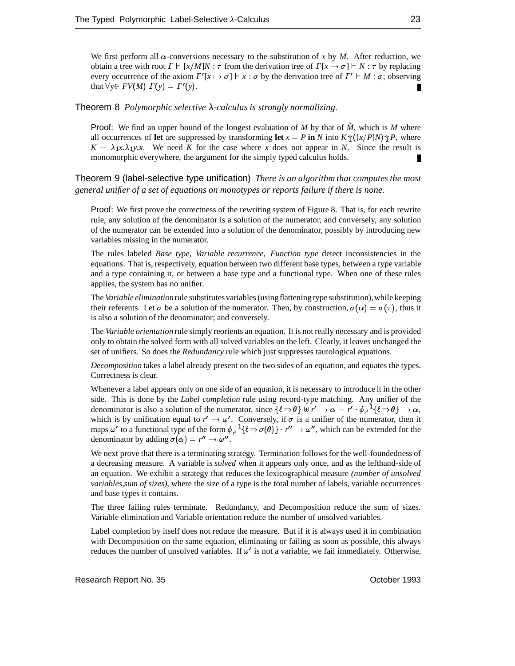We first perform all  $\alpha$ -conversions necessary to the substitution of x by M. After reduction, we obtain a tree with root  $\Gamma \vdash [x/M]N : \tau$  from the derivation tree of  $\Gamma[x \mapsto \sigma] \vdash N : \tau$  by replacing every occurrence of the axiom  $\Gamma'$   $[x \mapsto \sigma]$   $\vdash x : \sigma$  by the derivation tree of  $\Gamma' \vdash M : \sigma$ ; observing that  $\forall y \in FV(M) \Gamma(y) = \Gamma'(y)$ . П

Theorem 8 *Polymorphic selective*  $\lambda$ -calculus is strongly normalizing.

Proof: We find an upper bound of the longest evaluation of *M* by that of *M*, which is *M* where all occurrences of **let** are suppressed by transforming **let**  $x = P$  **in** *N* into  $K \hat{\tau}$  ([*x*/*P*]*N*) $\hat{\tau}$ *P*, where  $K = \lambda_1 x \cdot \lambda_1 y \cdot x$ . We need *K* for the case where *x* does not appear in *N*. Since the result is monomorphic everywhere, the argument for the simply typed calculus holds. П

Theorem 9 (label-selective type unification) *There is an algorithm that computes the most general unifier of a set of equations on monotypes or reports failure if there is none.*

Proof: We first prove the correctness of the rewriting system of Figure 8. That is, for each rewrite rule, any solution of the denominator is a solution of the numerator, and conversely, any solution of the numerator can be extended into a solution of the denominator, possibly by introducing new variables missing in the numerator.

The rules labeled *Base type*, *Variable recurrence*, *Function type* detect inconsistencies in the equations. That is, respectively, equation between two different base types, between a type variable and a type containing it, or between a base type and a functional type. When one of these rules applies, the system has no unifier.

The *Variable elimination* rule substitutes variables (using flattening type substitution), while keeping their referents. Let  $\sigma$  be a solution of the numerator. Then, by construction,  $\sigma(\alpha) = \sigma(\tau)$ , thus it is also a solution of the denominator; and conversely.

The *Variable orientation* rule simply reorients an equation. It is not really necessary and is provided only to obtain the solved form with all solved variables on the left. Clearly, it leaves unchanged the set of unifiers. So does the *Redundancy* rule which just suppresses tautological equations.

*Decomposition* takes a label already present on the two sides of an equation, and equates the types. Correctness is clear.

Whenever a label appears only on one side of an equation, it is necessary to introduce it in the other side. This is done by the *Label completion* rule using record-type matching. Any unifier of the denominator is also a solution of the numerator, since  $\{\ell \Rightarrow \theta\} \forall r' \rightarrow \alpha = r' \cdot \phi_r^{-1} \{\ell \Rightarrow \theta\} \rightarrow \alpha$ , denominator is also a solution of the numerator, since  $\{\ell \Rightarrow \theta\} \forall r' \rightarrow \alpha = r' \cdot \phi_{r'}^{-1} \{\ell \Rightarrow \theta\} \rightarrow \alpha$ , which is by unification equal to  $r' \rightarrow \omega'$ . Conversely, if  $\sigma$  is a unifier of the numerator, then it maps  $\omega'$  to a functional type of the form  $\phi_{r'}^{-1} \{ \ell \Rightarrow \sigma(\theta) \} \cdot r'' \to \omega''$ , which can be extended for the denominator by adding  $\sigma(\alpha) = r'' \to \omega''$ . denominator by adding  $\sigma(\alpha) = r'' \rightarrow \omega''$ .

We next prove that there is a terminating strategy. Termination follows for the well-foundedness of a decreasing measure. A variable is *solved* when it appears only once, and as the lefthand-side of an equation. We exhibit a strategy that reduces the lexicographical measure *(number of unsolved variables,sum of sizes)*, where the size of a type is the total number of labels, variable occurrences and base types it contains.

The three failing rules terminate. Redundancy, and Decomposition reduce the sum of sizes. Variable elimination and Variable orientation reduce the number of unsolved variables.

Label completion by itself does not reduce the measure. But if it is always used it in combination with Decomposition on the same equation, eliminating or failing as soon as possible, this always reduces the number of unsolved variables. If  $\omega'$  is not a variable, we fail immediately. Otherwise,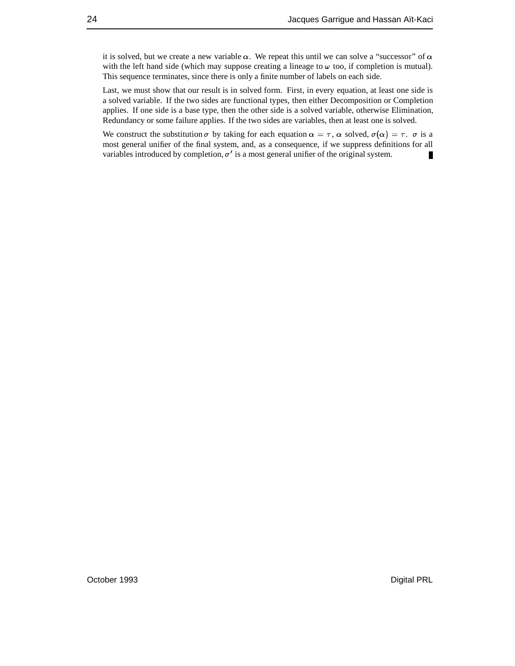it is solved, but we create a new variable  $\alpha$ . We repeat this until we can solve a "successor" of  $\alpha$ with the left hand side (which may suppose creating a lineage to  $\omega$  too, if completion is mutual). This sequence terminates, since there is only a finite number of labels on each side.

Last, we must show that our result is in solved form. First, in every equation, at least one side is a solved variable. If the two sides are functional types, then either Decomposition or Completion applies. If one side is a base type, then the other side is a solved variable, otherwise Elimination, Redundancy or some failure applies. If the two sides are variables, then at least one is solved.

We construct the substitution  $\sigma$  by taking for each equation  $\alpha = \tau$ ,  $\alpha$  solved,  $\sigma(\alpha) = \tau$ .  $\sigma$  is a most general unifier of the final system, and, as a consequence, if we suppress definitions for all variables introduced by completion,  $\sigma'$  is a most general unifier of the original system.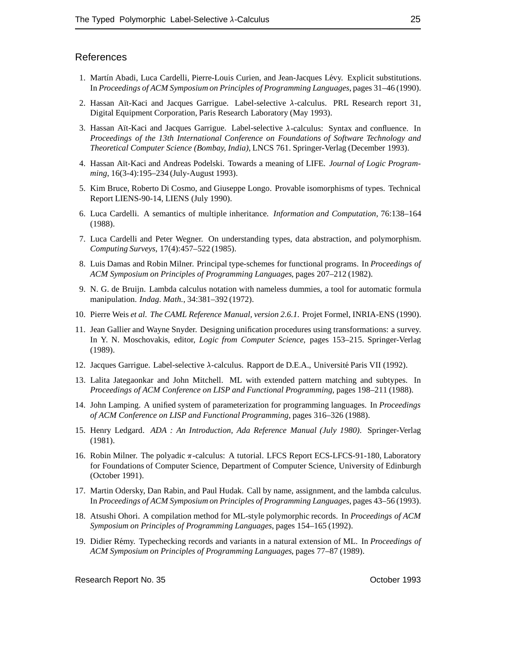#### **References**

- 1. Martín Abadi, Luca Cardelli, Pierre-Louis Curien, and Jean-Jacques Lévy. Explicit substitutions. In *Proceedings of ACM Symposium on Principles of Programming Languages*, pages 31–46 (1990).
- 2. Hassan Aït-Kaci and Jacques Garrigue. Label-selective  $\lambda$ -calculus. PRL Research report 31, Digital Equipment Corporation, Paris Research Laboratory (May 1993).
- 3. Hassan Aït-Kaci and Jacques Garrigue. Label-selective  $\lambda$ -calculus: Syntax and confluence. In *Proceedings of the 13th International Conference on Foundations of Software Technology and Theoretical Computer Science (Bombay, India)*, LNCS 761. Springer-Verlag (December 1993).
- 4. Hassan Aït-Kaci and Andreas Podelski. Towards a meaning of LIFE. *Journal of Logic Programming*, 16(3-4):195–234 (July-August 1993).
- 5. Kim Bruce, Roberto Di Cosmo, and Giuseppe Longo. Provable isomorphisms of types. Technical Report LIENS-90-14, LIENS (July 1990).
- 6. Luca Cardelli. A semantics of multiple inheritance. *Information and Computation*, 76:138–164 (1988).
- 7. Luca Cardelli and Peter Wegner. On understanding types, data abstraction, and polymorphism. *Computing Surveys*, 17(4):457–522 (1985).
- 8. Luis Damas and Robin Milner. Principal type-schemes for functional programs. In *Proceedings of ACM Symposium on Principles of Programming Languages*, pages 207–212 (1982).
- 9. N. G. de Bruijn. Lambda calculus notation with nameless dummies, a tool for automatic formula manipulation. *Indag. Math.*, 34:381–392 (1972).
- 10. Pierre Weis *et al. The CAML Reference Manual, version 2.6.1*. Projet Formel, INRIA-ENS (1990).
- 11. Jean Gallier and Wayne Snyder. Designing unification procedures using transformations: a survey. In Y. N. Moschovakis, editor, *Logic from Computer Science*, pages 153–215. Springer-Verlag (1989).
- 12. Jacques Garrigue. Label-selective  $\lambda$ -calculus. Rapport de D.E.A., Université Paris VII (1992).
- 13. Lalita Jategaonkar and John Mitchell. ML with extended pattern matching and subtypes. In *Proceedings of ACM Conference on LISP and Functional Programming*, pages 198–211 (1988).
- 14. John Lamping. A unified system of parameterization for programming languages. In *Proceedings of ACM Conference on LISP and Functional Programming*, pages 316–326 (1988).
- 15. Henry Ledgard. *ADA : An Introduction, Ada Reference Manual (July 1980)*. Springer-Verlag (1981).
- 16. Robin Milner. The polyadic  $\pi$ -calculus: A tutorial. LFCS Report ECS-LFCS-91-180, Laboratory for Foundations of Computer Science, Department of Computer Science, University of Edinburgh (October 1991).
- 17. Martin Odersky, Dan Rabin, and Paul Hudak. Call by name, assignment, and the lambda calculus. In *Proceedings of ACM Symposium on Principles of Programming Languages*, pages 43–56 (1993).
- 18. Atsushi Ohori. A compilation method for ML-style polymorphic records. In *Proceedings of ACM Symposium on Principles of Programming Languages*, pages 154–165 (1992).
- 19. Didier R´emy. Typechecking records and variants in a natural extension of ML. In *Proceedings of ACM Symposium on Principles of Programming Languages*, pages 77–87 (1989).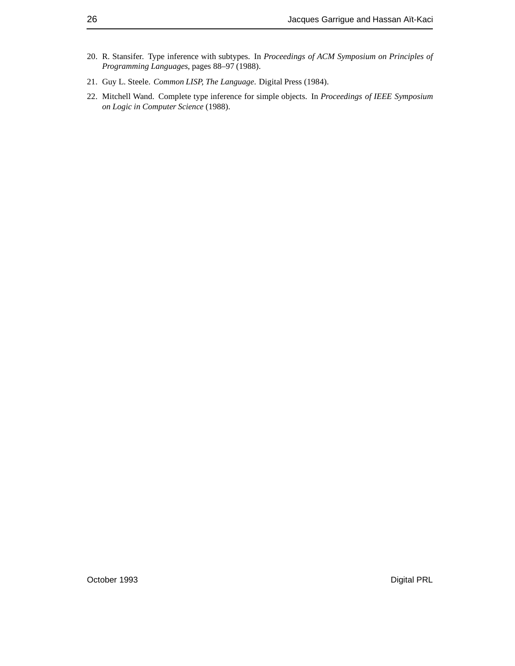- 20. R. Stansifer. Type inference with subtypes. In *Proceedings of ACM Symposium on Principles of Programming Languages*, pages 88–97 (1988).
- 21. Guy L. Steele. *Common LISP, The Language*. Digital Press (1984).
- 22. Mitchell Wand. Complete type inference for simple objects. In *Proceedings of IEEE Symposium on Logic in Computer Science* (1988).

October 1993 **Digital PRL**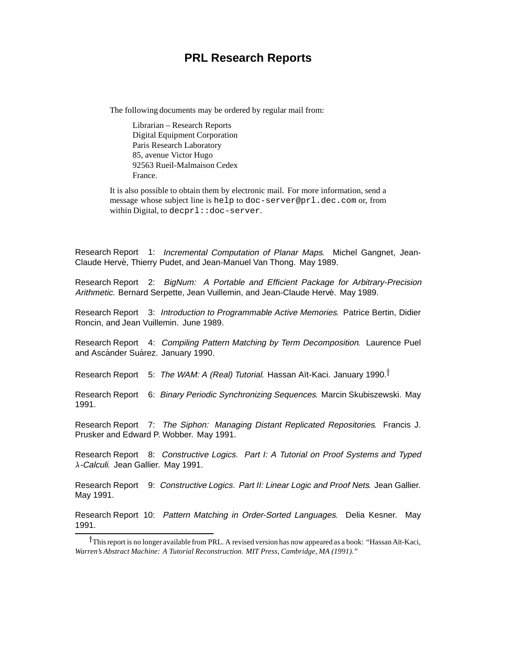### **PRL Research Reports**

The following documents may be ordered by regular mail from:

Librarian – Research Reports Digital Equipment Corporation Paris Research Laboratory 85, avenue Victor Hugo 92563 Rueil-Malmaison Cedex France.

It is also possible to obtain them by electronic mail. For more information, send a message whose subject line is help to doc-server@prl.dec.com or, from within Digital, to decprl::doc-server.

Research Report 1: Incremental Computation of Planar Maps. Michel Gangnet, Jean-Claude Hervé, Thierry Pudet, and Jean-Manuel Van Thong. May 1989.

Research Report 2: BigNum: A Portable and Efficient Package for Arbitrary-Precision Arithmetic. Bernard Serpette, Jean Vuillemin, and Jean-Claude Hervé. May 1989.

Research Report 3: Introduction to Programmable Active Memories. Patrice Bertin, Didier Roncin, and Jean Vuillemin. June 1989.

Research Report 4: Compiling Pattern Matching by Term Decomposition. Laurence Puel and Ascánder Suárez. January 1990.

Research Report 5: The WAM: A (Real) Tutorial. Hassan Aït-Kaci. January 1990.<sup>†</sup>

Research Report 6: Binary Periodic Synchronizing Sequences. Marcin Skubiszewski. May 1991.

Research Report 7: The Siphon: Managing Distant Replicated Repositories. Francis J. Prusker and Edward P. Wobber. May 1991.

Research Report 8: Constructive Logics. Part I: A Tutorial on Proof Systems and Typed  $\lambda$ -Calculi. Jean Gallier. May 1991.

Research Report 9: Constructive Logics. Part II: Linear Logic and Proof Nets. Jean Gallier. May 1991.

Research Report 10: Pattern Matching in Order-Sorted Languages. Delia Kesner. May 1991.

<sup>&</sup>lt;sup>T</sup>This report is no longer available from PRL. A revised version has now appeared as a book: "Hassan Aït-Kaci, *Warren's Abstract Machine: A Tutorial Reconstruction. MIT Press, Cambridge, MA (1991)."*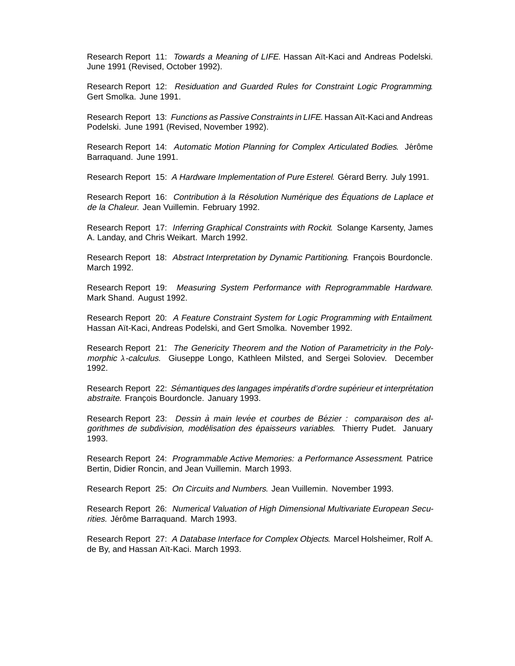Research Report 11: Towards a Meaning of LIFE. Hassan Aït-Kaci and Andreas Podelski. June 1991 (Revised, October 1992).

Research Report 12: Residuation and Guarded Rules for Constraint Logic Programming. Gert Smolka. June 1991.

Research Report 13: Functions as Passive Constraints in LIFE. Hassan Aït-Kaci and Andreas Podelski. June 1991 (Revised, November 1992).

Research Report 14: Automatic Motion Planning for Complex Articulated Bodies. Jérôme Barraquand. June 1991.

Research Report 15: A Hardware Implementation of Pure Esterel. Gérard Berry. July 1991.

Research Report 16: Contribution à la Résolution Numérique des Équations de Laplace et de la Chaleur. Jean Vuillemin. February 1992.

Research Report 17: Inferring Graphical Constraints with Rockit. Solange Karsenty, James A. Landay, and Chris Weikart. March 1992.

Research Report 18: Abstract Interpretation by Dynamic Partitioning. François Bourdoncle. March 1992.

Research Report 19: Measuring System Performance with Reprogrammable Hardware. Mark Shand. August 1992.

Research Report 20: A Feature Constraint System for Logic Programming with Entailment. Hassan Aït-Kaci, Andreas Podelski, and Gert Smolka. November 1992.

Research Report 21: The Genericity Theorem and the Notion of Parametricity in the Poly $m$ orphic  $\lambda$ -calculus. Giuseppe Longo, Kathleen Milsted, and Sergei Soloviev. December 1992.

Research Report 22: Sémantiques des langages impératifs d'ordre supérieur et interprétation abstraite. François Bourdoncle. January 1993.

Research Report 23: Dessin à main levée et courbes de Bézier : comparaison des algorithmes de subdivision, modélisation des épaisseurs variables. Thierry Pudet. January 1993.

Research Report 24: Programmable Active Memories: <sup>a</sup> Performance Assessment. Patrice Bertin, Didier Roncin, and Jean Vuillemin. March 1993.

Research Report 25: On Circuits and Numbers. Jean Vuillemin. November 1993.

Research Report 26: Numerical Valuation of High Dimensional Multivariate European Securities. Jérôme Barraquand. March 1993.

Research Report 27: A Database Interface for Complex Objects. Marcel Holsheimer, Rolf A. de By, and Hassan Aït-Kaci. March 1993.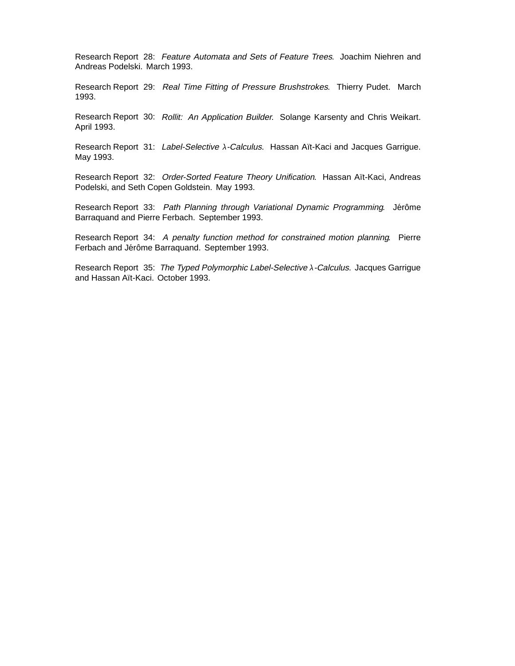Research Report 28: Feature Automata and Sets of Feature Trees. Joachim Niehren and Andreas Podelski. March 1993.

Research Report 29: Real Time Fitting of Pressure Brushstrokes. Thierry Pudet. March 1993.

Research Report 30: Rollit: An Application Builder. Solange Karsenty and Chris Weikart. April 1993.

Research Report 31: Label-Selective  $\lambda$ -Calculus. Hassan Aït-Kaci and Jacques Garrigue. May 1993.

Research Report 32: Order-Sorted Feature Theory Unification. Hassan Aït-Kaci, Andreas Podelski, and Seth Copen Goldstein. May 1993.

Research Report 33: Path Planning through Variational Dynamic Programming. Jérôme Barraquand and Pierre Ferbach. September 1993.

Research Report 34: <sup>A</sup> penalty function method for constrained motion planning. Pierre Ferbach and Jérôme Barraquand. September 1993.

Research Report 35: The Typed Polymorphic Label-Selective  $\lambda$ -Calculus. Jacques Garrigue and Hassan Aït-Kaci. October 1993.